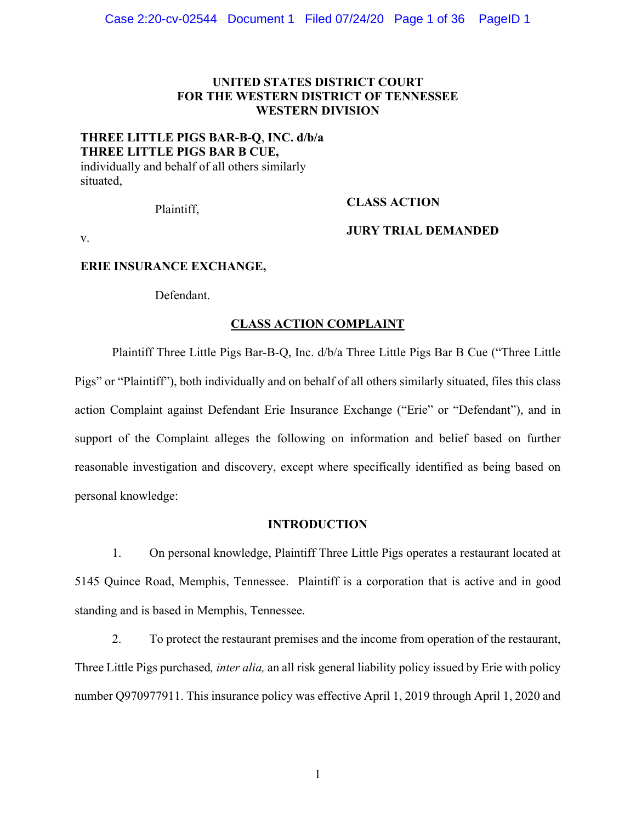## **UNITED STATES DISTRICT COURT FOR THE WESTERN DISTRICT OF TENNESSEE WESTERN DIVISION**

## **THREE LITTLE PIGS BAR-B-Q**, **INC. d/b/a THREE LITTLE PIGS BAR B CUE,**

individually and behalf of all others similarly situated,

# Plaintiff, **CLASS ACTION**

v.

## **JURY TRIAL DEMANDED**

## **ERIE INSURANCE EXCHANGE,**

Defendant.

## **CLASS ACTION COMPLAINT**

Plaintiff Three Little Pigs Bar-B-Q, Inc. d/b/a Three Little Pigs Bar B Cue ("Three Little Pigs" or "Plaintiff"), both individually and on behalf of all others similarly situated, files this class action Complaint against Defendant Erie Insurance Exchange ("Erie" or "Defendant"), and in support of the Complaint alleges the following on information and belief based on further reasonable investigation and discovery, except where specifically identified as being based on personal knowledge:

## **INTRODUCTION**

1. On personal knowledge, Plaintiff Three Little Pigs operates a restaurant located at 5145 Quince Road, Memphis, Tennessee. Plaintiff is a corporation that is active and in good standing and is based in Memphis, Tennessee.

2. To protect the restaurant premises and the income from operation of the restaurant, Three Little Pigs purchased*, inter alia,* an all risk general liability policy issued by Erie with policy number Q970977911. This insurance policy was effective April 1, 2019 through April 1, 2020 and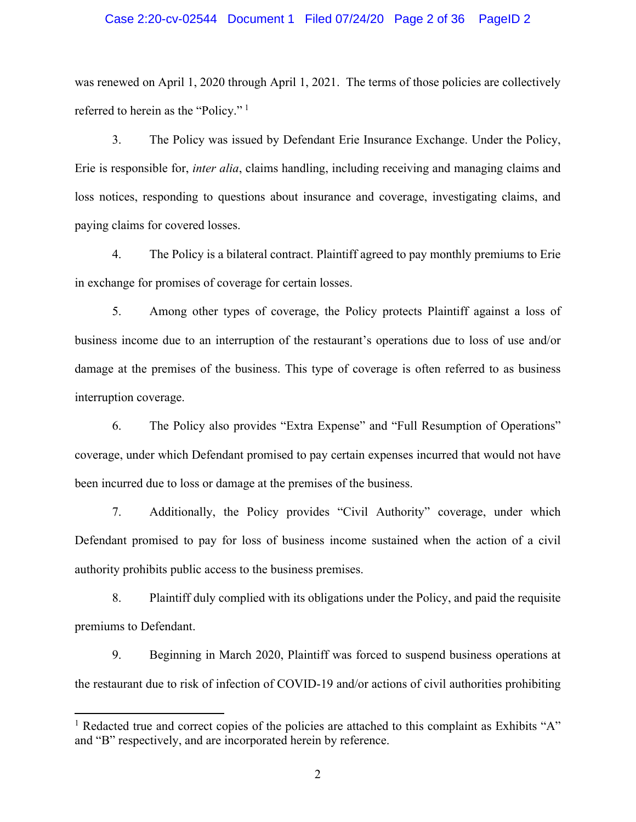## Case 2:20-cv-02544 Document 1 Filed 07/24/20 Page 2 of 36 PageID 2

was renewed on April 1, 2020 through April 1, 2021. The terms of those policies are collectively referred to herein as the "Policy." [1](#page-1-0)

3. The Policy was issued by Defendant Erie Insurance Exchange. Under the Policy, Erie is responsible for, *inter alia*, claims handling, including receiving and managing claims and loss notices, responding to questions about insurance and coverage, investigating claims, and paying claims for covered losses.

4. The Policy is a bilateral contract. Plaintiff agreed to pay monthly premiums to Erie in exchange for promises of coverage for certain losses.

5. Among other types of coverage, the Policy protects Plaintiff against a loss of business income due to an interruption of the restaurant's operations due to loss of use and/or damage at the premises of the business. This type of coverage is often referred to as business interruption coverage.

6. The Policy also provides "Extra Expense" and "Full Resumption of Operations" coverage, under which Defendant promised to pay certain expenses incurred that would not have been incurred due to loss or damage at the premises of the business.

7. Additionally, the Policy provides "Civil Authority" coverage, under which Defendant promised to pay for loss of business income sustained when the action of a civil authority prohibits public access to the business premises.

8. Plaintiff duly complied with its obligations under the Policy, and paid the requisite premiums to Defendant.

9. Beginning in March 2020, Plaintiff was forced to suspend business operations at the restaurant due to risk of infection of COVID-19 and/or actions of civil authorities prohibiting

<span id="page-1-0"></span><sup>&</sup>lt;sup>1</sup> Redacted true and correct copies of the policies are attached to this complaint as Exhibits "A" and "B" respectively, and are incorporated herein by reference.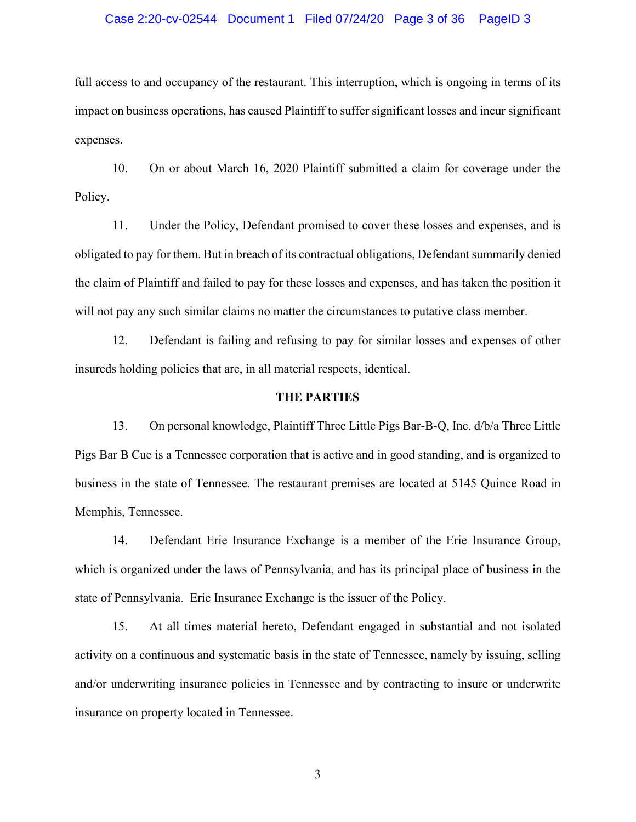## Case 2:20-cv-02544 Document 1 Filed 07/24/20 Page 3 of 36 PageID 3

full access to and occupancy of the restaurant. This interruption, which is ongoing in terms of its impact on business operations, has caused Plaintiff to suffer significant losses and incur significant expenses.

10. On or about March 16, 2020 Plaintiff submitted a claim for coverage under the Policy.

11. Under the Policy, Defendant promised to cover these losses and expenses, and is obligated to pay for them. But in breach of its contractual obligations, Defendant summarily denied the claim of Plaintiff and failed to pay for these losses and expenses, and has taken the position it will not pay any such similar claims no matter the circumstances to putative class member.

12. Defendant is failing and refusing to pay for similar losses and expenses of other insureds holding policies that are, in all material respects, identical.

## **THE PARTIES**

13. On personal knowledge, Plaintiff Three Little Pigs Bar-B-Q, Inc. d/b/a Three Little Pigs Bar B Cue is a Tennessee corporation that is active and in good standing, and is organized to business in the state of Tennessee. The restaurant premises are located at 5145 Quince Road in Memphis, Tennessee.

14. Defendant Erie Insurance Exchange is a member of the Erie Insurance Group, which is organized under the laws of Pennsylvania, and has its principal place of business in the state of Pennsylvania. Erie Insurance Exchange is the issuer of the Policy.

15. At all times material hereto, Defendant engaged in substantial and not isolated activity on a continuous and systematic basis in the state of Tennessee, namely by issuing, selling and/or underwriting insurance policies in Tennessee and by contracting to insure or underwrite insurance on property located in Tennessee.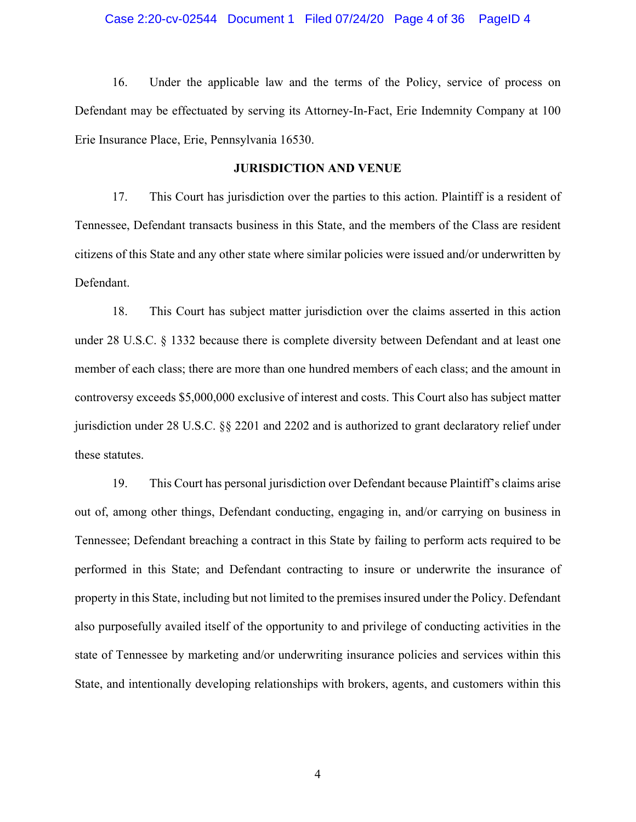## Case 2:20-cv-02544 Document 1 Filed 07/24/20 Page 4 of 36 PageID 4

16. Under the applicable law and the terms of the Policy, service of process on Defendant may be effectuated by serving its Attorney-In-Fact, Erie Indemnity Company at 100 Erie Insurance Place, Erie, Pennsylvania 16530.

## **JURISDICTION AND VENUE**

17. This Court has jurisdiction over the parties to this action. Plaintiff is a resident of Tennessee, Defendant transacts business in this State, and the members of the Class are resident citizens of this State and any other state where similar policies were issued and/or underwritten by Defendant.

18. This Court has subject matter jurisdiction over the claims asserted in this action under 28 U.S.C. § 1332 because there is complete diversity between Defendant and at least one member of each class; there are more than one hundred members of each class; and the amount in controversy exceeds \$5,000,000 exclusive of interest and costs. This Court also has subject matter jurisdiction under 28 U.S.C. §§ 2201 and 2202 and is authorized to grant declaratory relief under these statutes.

19. This Court has personal jurisdiction over Defendant because Plaintiff's claims arise out of, among other things, Defendant conducting, engaging in, and/or carrying on business in Tennessee; Defendant breaching a contract in this State by failing to perform acts required to be performed in this State; and Defendant contracting to insure or underwrite the insurance of property in this State, including but not limited to the premises insured under the Policy. Defendant also purposefully availed itself of the opportunity to and privilege of conducting activities in the state of Tennessee by marketing and/or underwriting insurance policies and services within this State, and intentionally developing relationships with brokers, agents, and customers within this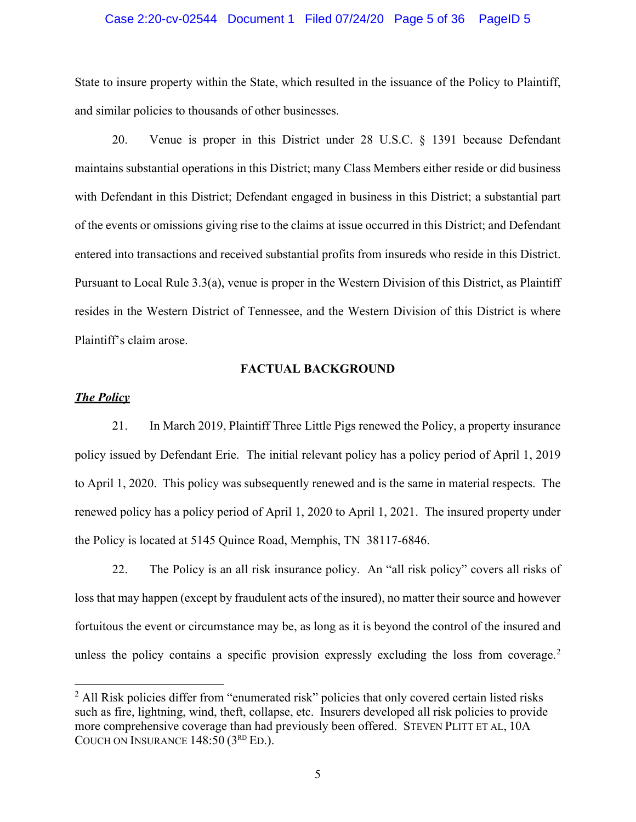## Case 2:20-cv-02544 Document 1 Filed 07/24/20 Page 5 of 36 PageID 5

State to insure property within the State, which resulted in the issuance of the Policy to Plaintiff, and similar policies to thousands of other businesses.

20. Venue is proper in this District under 28 U.S.C. § 1391 because Defendant maintains substantial operations in this District; many Class Members either reside or did business with Defendant in this District; Defendant engaged in business in this District; a substantial part of the events or omissions giving rise to the claims at issue occurred in this District; and Defendant entered into transactions and received substantial profits from insureds who reside in this District. Pursuant to Local Rule 3.3(a), venue is proper in the Western Division of this District, as Plaintiff resides in the Western District of Tennessee, and the Western Division of this District is where Plaintiff's claim arose.

## **FACTUAL BACKGROUND**

## *The Policy*

21. In March 2019, Plaintiff Three Little Pigs renewed the Policy, a property insurance policy issued by Defendant Erie. The initial relevant policy has a policy period of April 1, 2019 to April 1, 2020. This policy was subsequently renewed and is the same in material respects. The renewed policy has a policy period of April 1, 2020 to April 1, 2021. The insured property under the Policy is located at 5145 Quince Road, Memphis, TN 38117-6846.

22. The Policy is an all risk insurance policy. An "all risk policy" covers all risks of loss that may happen (except by fraudulent acts of the insured), no matter their source and however fortuitous the event or circumstance may be, as long as it is beyond the control of the insured and unless the policy contains a specific provision expressly excluding the loss from coverage.<sup>[2](#page-4-0)</sup>

<span id="page-4-0"></span> $2$  All Risk policies differ from "enumerated risk" policies that only covered certain listed risks such as fire, lightning, wind, theft, collapse, etc. Insurers developed all risk policies to provide more comprehensive coverage than had previously been offered. STEVEN PLITT ET AL, 10A COUCH ON INSURANCE 148:50 (3<sup>RD</sup> ED.).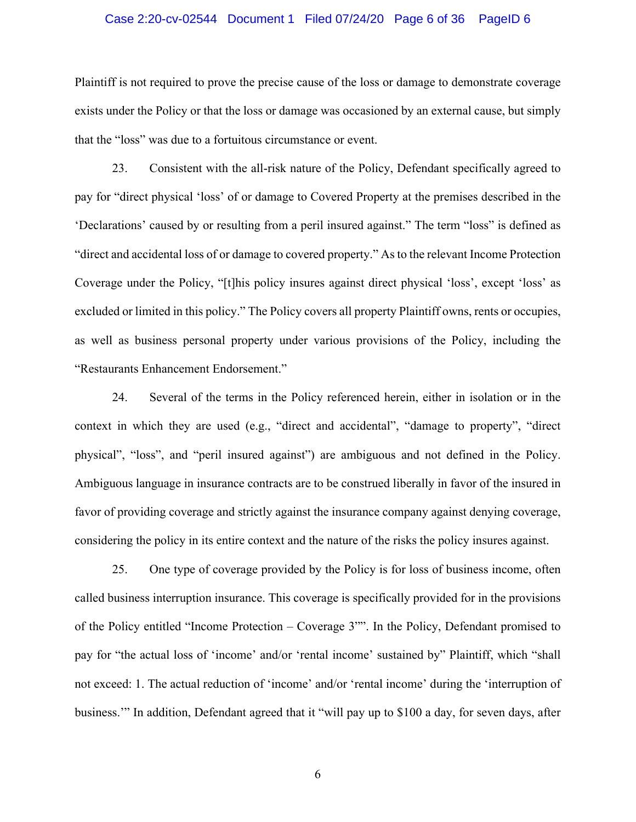## Case 2:20-cv-02544 Document 1 Filed 07/24/20 Page 6 of 36 PageID 6

Plaintiff is not required to prove the precise cause of the loss or damage to demonstrate coverage exists under the Policy or that the loss or damage was occasioned by an external cause, but simply that the "loss" was due to a fortuitous circumstance or event.

23. Consistent with the all-risk nature of the Policy, Defendant specifically agreed to pay for "direct physical 'loss' of or damage to Covered Property at the premises described in the 'Declarations' caused by or resulting from a peril insured against." The term "loss" is defined as "direct and accidental loss of or damage to covered property." As to the relevant Income Protection Coverage under the Policy, "[t]his policy insures against direct physical 'loss', except 'loss' as excluded or limited in this policy." The Policy covers all property Plaintiff owns, rents or occupies, as well as business personal property under various provisions of the Policy, including the "Restaurants Enhancement Endorsement."

24. Several of the terms in the Policy referenced herein, either in isolation or in the context in which they are used (e.g., "direct and accidental", "damage to property", "direct physical", "loss", and "peril insured against") are ambiguous and not defined in the Policy. Ambiguous language in insurance contracts are to be construed liberally in favor of the insured in favor of providing coverage and strictly against the insurance company against denying coverage, considering the policy in its entire context and the nature of the risks the policy insures against.

25. One type of coverage provided by the Policy is for loss of business income, often called business interruption insurance. This coverage is specifically provided for in the provisions of the Policy entitled "Income Protection – Coverage 3"". In the Policy, Defendant promised to pay for "the actual loss of 'income' and/or 'rental income' sustained by" Plaintiff, which "shall not exceed: 1. The actual reduction of 'income' and/or 'rental income' during the 'interruption of business.'" In addition, Defendant agreed that it "will pay up to \$100 a day, for seven days, after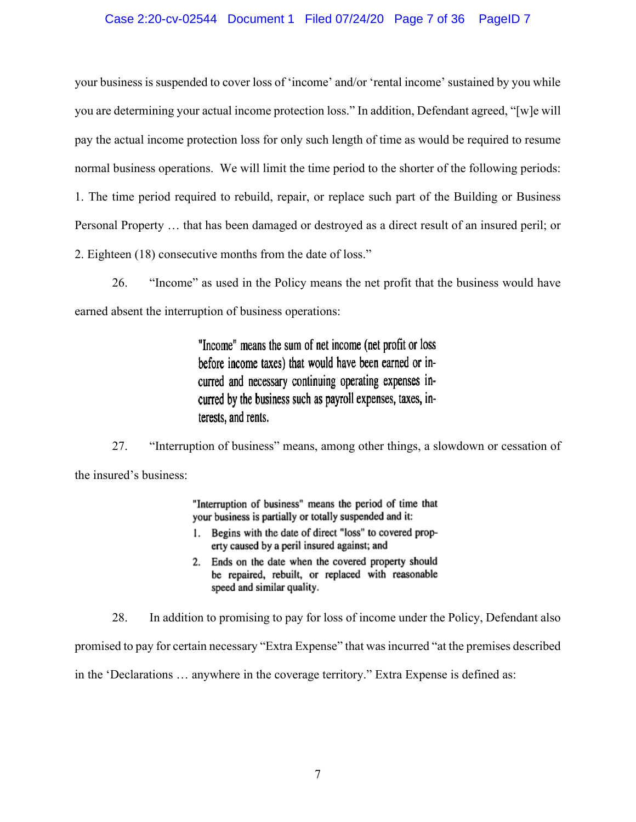## Case 2:20-cv-02544 Document 1 Filed 07/24/20 Page 7 of 36 PageID 7

your business is suspended to cover loss of 'income' and/or 'rental income' sustained by you while you are determining your actual income protection loss." In addition, Defendant agreed, "[w]e will pay the actual income protection loss for only such length of time as would be required to resume normal business operations. We will limit the time period to the shorter of the following periods: 1. The time period required to rebuild, repair, or replace such part of the Building or Business Personal Property … that has been damaged or destroyed as a direct result of an insured peril; or 2. Eighteen (18) consecutive months from the date of loss."

26. "Income" as used in the Policy means the net profit that the business would have earned absent the interruption of business operations:

> "Income" means the sum of net income (net profit or loss) before income taxes) that would have been earned or incurred and necessary continuing operating expenses incurred by the business such as payroll expenses, taxes, interests, and rents.

27. "Interruption of business" means, among other things, a slowdown or cessation of the insured's business:

> "Interruption of business" means the period of time that your business is partially or totally suspended and it:

- 1. Begins with the date of direct "loss" to covered property caused by a peril insured against; and
- 2. Ends on the date when the covered property should be repaired, rebuilt, or replaced with reasonable speed and similar quality.

28. In addition to promising to pay for loss of income under the Policy, Defendant also promised to pay for certain necessary "Extra Expense" that was incurred "at the premises described in the 'Declarations … anywhere in the coverage territory." Extra Expense is defined as: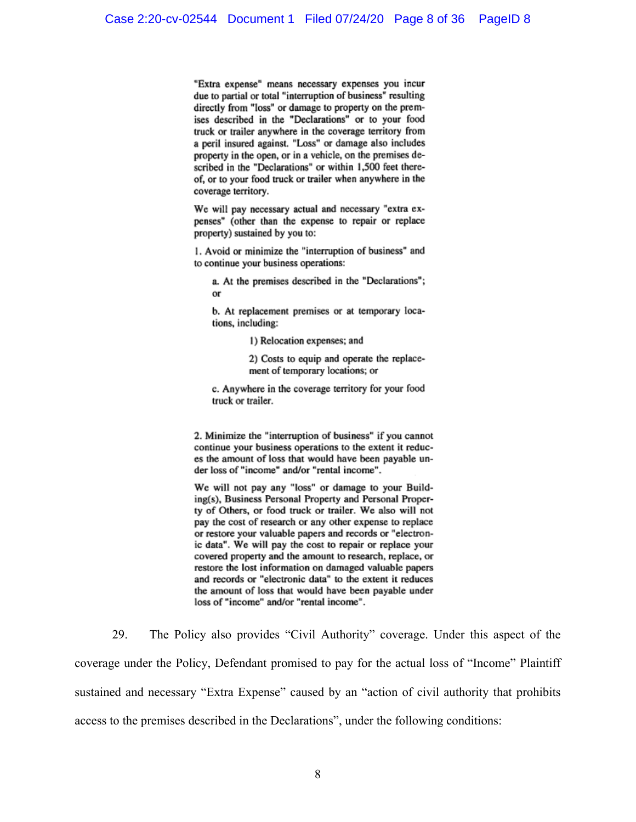"Extra expense" means necessary expenses you incur due to partial or total "interruption of business" resulting directly from "loss" or damage to property on the premises described in the "Declarations" or to your food truck or trailer anywhere in the coverage territory from a peril insured against. "Loss" or damage also includes property in the open, or in a vehicle, on the premises described in the "Declarations" or within 1,500 feet thereof, or to your food truck or trailer when anywhere in the coverage territory.

We will pay necessary actual and necessary "extra expenses" (other than the expense to repair or replace property) sustained by you to:

1. Avoid or minimize the "interruption of business" and to continue your business operations:

a. At the premises described in the "Declarations"; or

b. At replacement premises or at temporary locations, including:

1) Relocation expenses; and

2) Costs to equip and operate the replacement of temporary locations; or

c. Anywhere in the coverage territory for your food truck or trailer.

2. Minimize the "interruption of business" if you cannot continue your business operations to the extent it reduces the amount of loss that would have been payable under loss of "income" and/or "rental income".

We will not pay any "loss" or damage to your Building(s), Business Personal Property and Personal Property of Others, or food truck or trailer. We also will not pay the cost of research or any other expense to replace or restore your valuable papers and records or "electronic data". We will pay the cost to repair or replace your covered property and the amount to research, replace, or restore the lost information on damaged valuable papers and records or "electronic data" to the extent it reduces the amount of loss that would have been payable under loss of "income" and/or "rental income".

29. The Policy also provides "Civil Authority" coverage. Under this aspect of the coverage under the Policy, Defendant promised to pay for the actual loss of "Income" Plaintiff sustained and necessary "Extra Expense" caused by an "action of civil authority that prohibits access to the premises described in the Declarations", under the following conditions: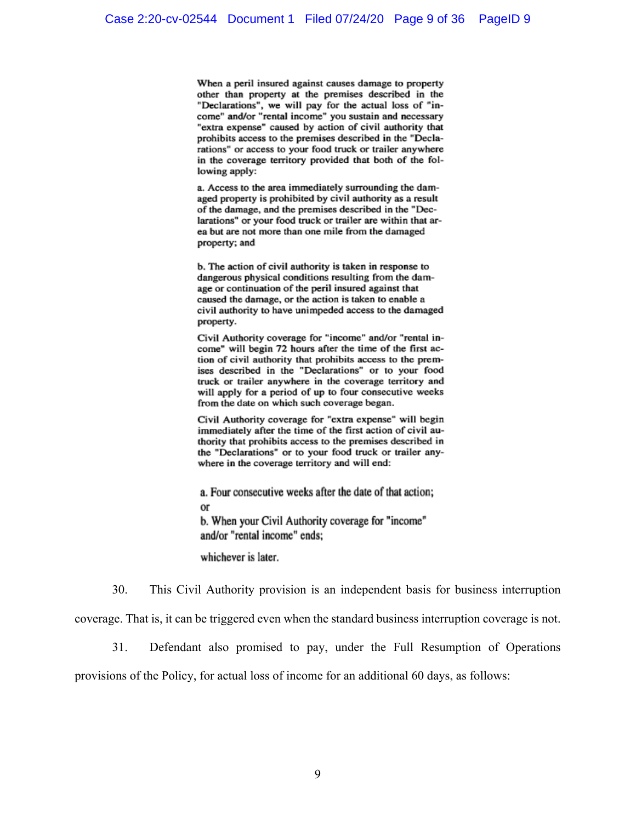When a peril insured against causes damage to property other than property at the premises described in the "Declarations", we will pay for the actual loss of "income" and/or "rental income" you sustain and necessary "extra expense" caused by action of civil authority that prohibits access to the premises described in the "Declarations" or access to your food truck or trailer anywhere in the coverage territory provided that both of the following apply:

a. Access to the area immediately surrounding the damaged property is prohibited by civil authority as a result of the damage, and the premises described in the "Declarations" or your food truck or trailer are within that area but are not more than one mile from the damaged property; and

b. The action of civil authority is taken in response to dangerous physical conditions resulting from the damage or continuation of the peril insured against that caused the damage, or the action is taken to enable a civil authority to have unimpeded access to the damaged property.

Civil Authority coverage for "income" and/or "rental income" will begin 72 hours after the time of the first action of civil authority that prohibits access to the premises described in the "Declarations" or to your food truck or trailer anywhere in the coverage territory and will apply for a period of up to four consecutive weeks from the date on which such coverage began.

Civil Authority coverage for "extra expense" will begin immediately after the time of the first action of civil authority that prohibits access to the premises described in the "Declarations" or to your food truck or trailer anywhere in the coverage territory and will end:

a. Four consecutive weeks after the date of that action; or b. When your Civil Authority coverage for "income" and/or "rental income" ends:

whichever is later.

30. This Civil Authority provision is an independent basis for business interruption

coverage. That is, it can be triggered even when the standard business interruption coverage is not.

31. Defendant also promised to pay, under the Full Resumption of Operations

provisions of the Policy, for actual loss of income for an additional 60 days, as follows: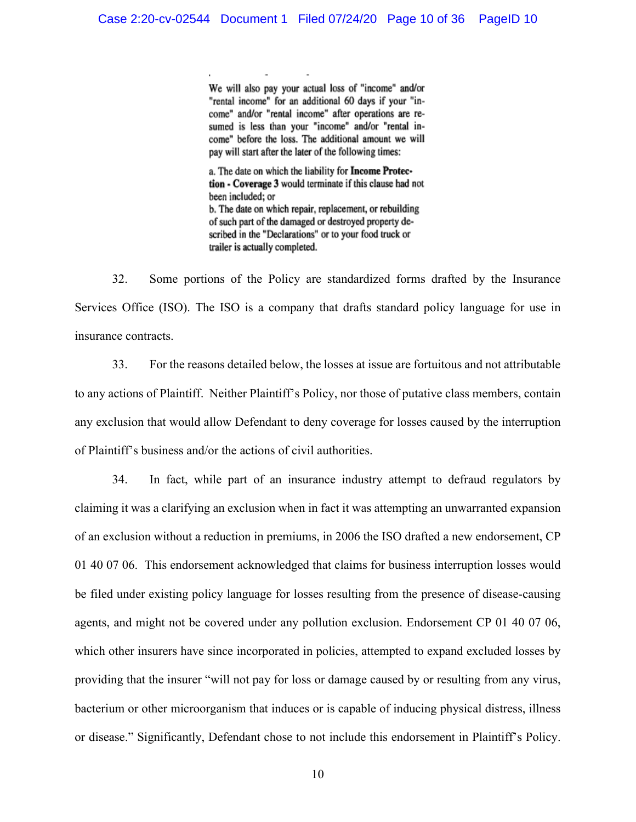We will also pay your actual loss of "income" and/or "rental income" for an additional 60 days if your "income" and/or "rental income" after operations are resumed is less than your "income" and/or "rental income" before the loss. The additional amount we will pay will start after the later of the following times:

a. The date on which the liability for Income Protection - Coverage 3 would terminate if this clause had not been included; or b. The date on which repair, replacement, or rebuilding of such part of the damaged or destroyed property described in the "Declarations" or to your food truck or trailer is actually completed.

32. Some portions of the Policy are standardized forms drafted by the Insurance Services Office (ISO). The ISO is a company that drafts standard policy language for use in insurance contracts.

33. For the reasons detailed below, the losses at issue are fortuitous and not attributable to any actions of Plaintiff. Neither Plaintiff's Policy, nor those of putative class members, contain any exclusion that would allow Defendant to deny coverage for losses caused by the interruption of Plaintiff's business and/or the actions of civil authorities.

34. In fact, while part of an insurance industry attempt to defraud regulators by claiming it was a clarifying an exclusion when in fact it was attempting an unwarranted expansion of an exclusion without a reduction in premiums, in 2006 the ISO drafted a new endorsement, CP 01 40 07 06. This endorsement acknowledged that claims for business interruption losses would be filed under existing policy language for losses resulting from the presence of disease-causing agents, and might not be covered under any pollution exclusion. Endorsement CP 01 40 07 06, which other insurers have since incorporated in policies, attempted to expand excluded losses by providing that the insurer "will not pay for loss or damage caused by or resulting from any virus, bacterium or other microorganism that induces or is capable of inducing physical distress, illness or disease." Significantly, Defendant chose to not include this endorsement in Plaintiff's Policy.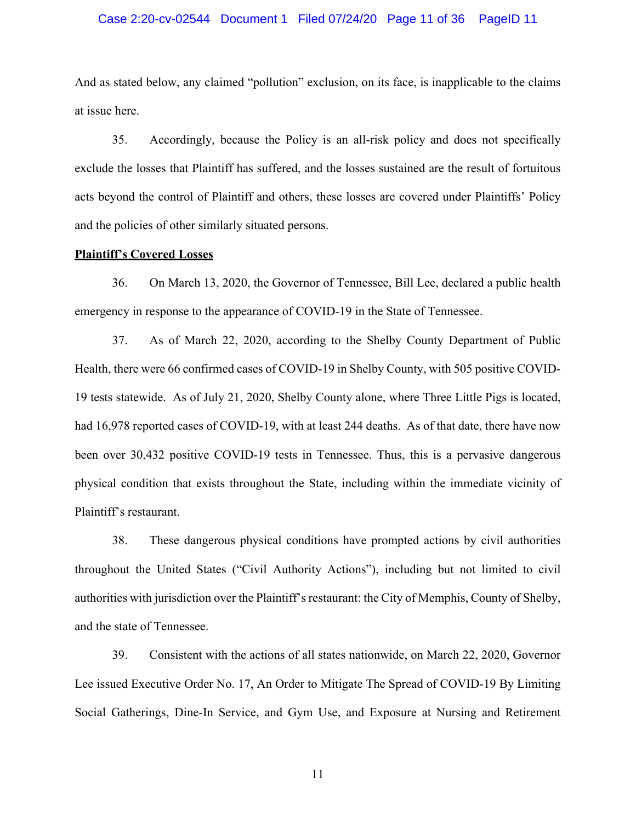## Case 2:20-cv-02544 Document 1 Filed 07/24/20 Page 11 of 36 PageID 11

And as stated below, any claimed "pollution" exclusion, on its face, is inapplicable to the claims at issue here.

35. Accordingly, because the Policy is an all-risk policy and does not specifically exclude the losses that Plaintiff has suffered, and the losses sustained are the result of fortuitous acts beyond the control of Plaintiff and others, these losses are covered under Plaintiffs' Policy and the policies of other similarly situated persons.

## **Plaintiff's Covered Losses**

36. On March 13, 2020, the Governor of Tennessee, Bill Lee, declared a public health emergency in response to the appearance of COVID-19 in the State of Tennessee.

37. As of March 22, 2020, according to the Shelby County Department of Public Health, there were 66 confirmed cases of COVID-19 in Shelby County, with 505 positive COVID-19 tests statewide. As of July 21, 2020, Shelby County alone, where Three Little Pigs is located, had 16,978 reported cases of COVID-19, with at least 244 deaths. As of that date, there have now been over 30,432 positive COVID-19 tests in Tennessee. Thus, this is a pervasive dangerous physical condition that exists throughout the State, including within the immediate vicinity of Plaintiff's restaurant.

38. These dangerous physical conditions have prompted actions by civil authorities throughout the United States ("Civil Authority Actions"), including but not limited to civil authorities with jurisdiction over the Plaintiff's restaurant: the City of Memphis, County of Shelby, and the state of Tennessee.

39. Consistent with the actions of all states nationwide, on March 22, 2020, Governor Lee issued Executive Order No. 17, An Order to Mitigate The Spread of COVID-19 By Limiting Social Gatherings, Dine-In Service, and Gym Use, and Exposure at Nursing and Retirement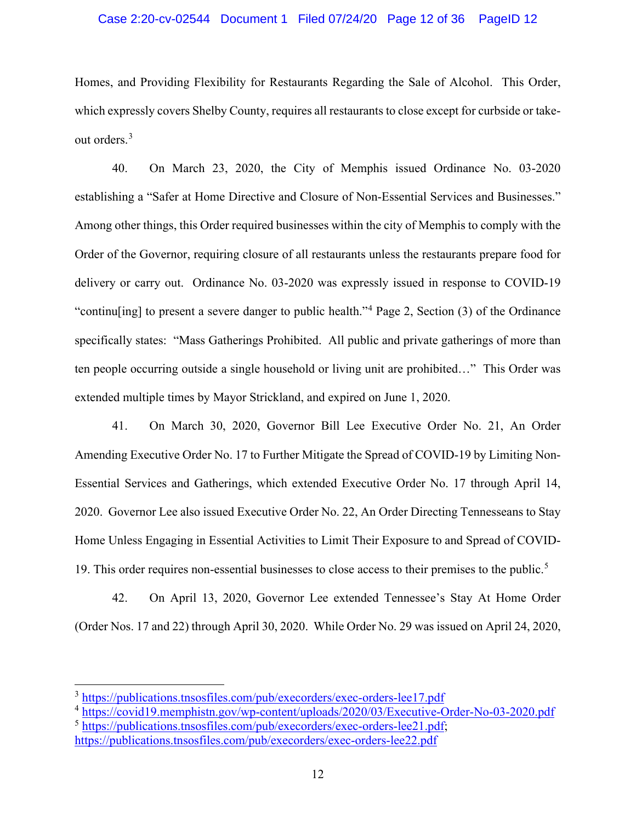## Case 2:20-cv-02544 Document 1 Filed 07/24/20 Page 12 of 36 PageID 12

Homes, and Providing Flexibility for Restaurants Regarding the Sale of Alcohol. This Order, which expressly covers Shelby County, requires all restaurants to close except for curbside or takeout orders. [3](#page-11-0)

40. On March 23, 2020, the City of Memphis issued Ordinance No. 03-2020 establishing a "Safer at Home Directive and Closure of Non-Essential Services and Businesses." Among other things, this Order required businesses within the city of Memphis to comply with the Order of the Governor, requiring closure of all restaurants unless the restaurants prepare food for delivery or carry out. Ordinance No. 03-2020 was expressly issued in response to COVID-19 "continu[ing] to present a severe danger to public health."[4](#page-11-1) Page 2, Section (3) of the Ordinance specifically states: "Mass Gatherings Prohibited. All public and private gatherings of more than ten people occurring outside a single household or living unit are prohibited…" This Order was extended multiple times by Mayor Strickland, and expired on June 1, 2020.

41. On March 30, 2020, Governor Bill Lee Executive Order No. 21, An Order Amending Executive Order No. 17 to Further Mitigate the Spread of COVID-19 by Limiting Non-Essential Services and Gatherings, which extended Executive Order No. 17 through April 14, 2020. Governor Lee also issued Executive Order No. 22, An Order Directing Tennesseans to Stay Home Unless Engaging in Essential Activities to Limit Their Exposure to and Spread of COVID-19. This order requires non-essential businesses to close access to their premises to the public.[5](#page-11-2)

42. On April 13, 2020, Governor Lee extended Tennessee's Stay At Home Order (Order Nos. 17 and 22) through April 30, 2020. While Order No. 29 was issued on April 24, 2020,

<span id="page-11-0"></span><sup>&</sup>lt;sup>3</sup> <https://publications.tnsosfiles.com/pub/execorders/exec-orders-lee17.pdf>

<span id="page-11-1"></span><sup>&</sup>lt;sup>4</sup> <https://covid19.memphistn.gov/wp-content/uploads/2020/03/Executive-Order-No-03-2020.pdf>

<span id="page-11-2"></span><sup>5</sup> [https://publications.tnsosfiles.com/pub/execorders/exec-orders-lee21.pdf;](https://publications.tnsosfiles.com/pub/execorders/exec-orders-lee21.pdf) <https://publications.tnsosfiles.com/pub/execorders/exec-orders-lee22.pdf>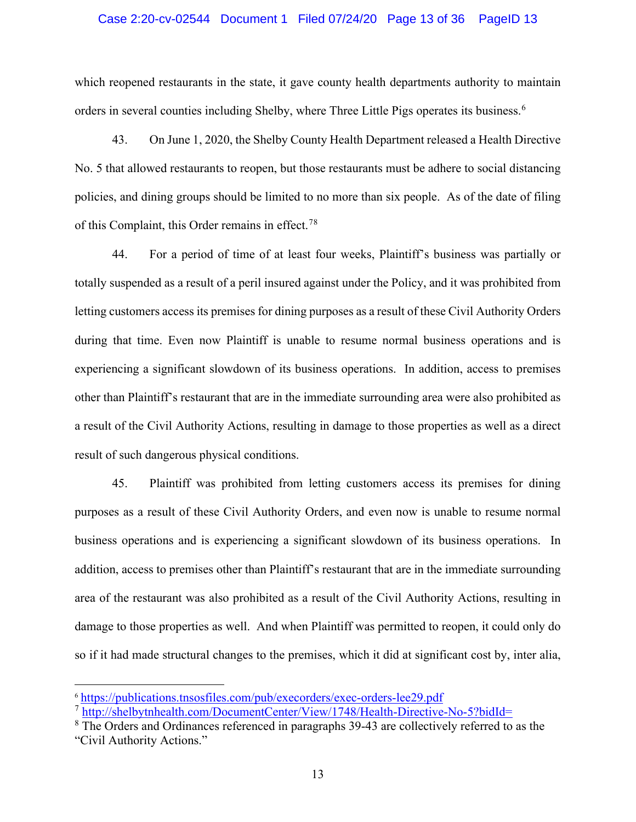## Case 2:20-cv-02544 Document 1 Filed 07/24/20 Page 13 of 36 PageID 13

which reopened restaurants in the state, it gave county health departments authority to maintain orders in several counties including Shelby, where Three Little Pigs operates its business.<sup>[6](#page-12-0)</sup>

43. On June 1, 2020, the Shelby County Health Department released a Health Directive No. 5 that allowed restaurants to reopen, but those restaurants must be adhere to social distancing policies, and dining groups should be limited to no more than six people. As of the date of filing of this Complaint, this Order remains in effect.[7](#page-12-1)[8](#page-12-2)

44. For a period of time of at least four weeks, Plaintiff's business was partially or totally suspended as a result of a peril insured against under the Policy, and it was prohibited from letting customers access its premises for dining purposes as a result of these Civil Authority Orders during that time. Even now Plaintiff is unable to resume normal business operations and is experiencing a significant slowdown of its business operations. In addition, access to premises other than Plaintiff's restaurant that are in the immediate surrounding area were also prohibited as a result of the Civil Authority Actions, resulting in damage to those properties as well as a direct result of such dangerous physical conditions.

45. Plaintiff was prohibited from letting customers access its premises for dining purposes as a result of these Civil Authority Orders, and even now is unable to resume normal business operations and is experiencing a significant slowdown of its business operations. In addition, access to premises other than Plaintiff's restaurant that are in the immediate surrounding area of the restaurant was also prohibited as a result of the Civil Authority Actions, resulting in damage to those properties as well. And when Plaintiff was permitted to reopen, it could only do so if it had made structural changes to the premises, which it did at significant cost by, inter alia,

<span id="page-12-0"></span><sup>6</sup> <https://publications.tnsosfiles.com/pub/execorders/exec-orders-lee29.pdf>

<span id="page-12-1"></span><sup>7</sup> <http://shelbytnhealth.com/DocumentCenter/View/1748/Health-Directive-No-5?bidId=>

<span id="page-12-2"></span><sup>&</sup>lt;sup>8</sup> The Orders and Ordinances referenced in paragraphs 39-43 are collectively referred to as the "Civil Authority Actions."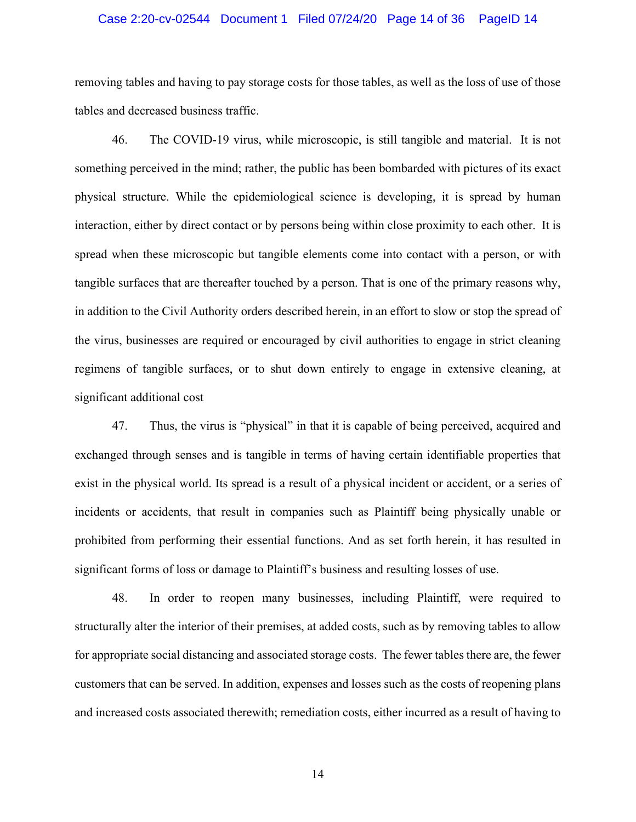## Case 2:20-cv-02544 Document 1 Filed 07/24/20 Page 14 of 36 PageID 14

removing tables and having to pay storage costs for those tables, as well as the loss of use of those tables and decreased business traffic.

46. The COVID-19 virus, while microscopic, is still tangible and material. It is not something perceived in the mind; rather, the public has been bombarded with pictures of its exact physical structure. While the epidemiological science is developing, it is spread by human interaction, either by direct contact or by persons being within close proximity to each other. It is spread when these microscopic but tangible elements come into contact with a person, or with tangible surfaces that are thereafter touched by a person. That is one of the primary reasons why, in addition to the Civil Authority orders described herein, in an effort to slow or stop the spread of the virus, businesses are required or encouraged by civil authorities to engage in strict cleaning regimens of tangible surfaces, or to shut down entirely to engage in extensive cleaning, at significant additional cost

47. Thus, the virus is "physical" in that it is capable of being perceived, acquired and exchanged through senses and is tangible in terms of having certain identifiable properties that exist in the physical world. Its spread is a result of a physical incident or accident, or a series of incidents or accidents, that result in companies such as Plaintiff being physically unable or prohibited from performing their essential functions. And as set forth herein, it has resulted in significant forms of loss or damage to Plaintiff's business and resulting losses of use.

48. In order to reopen many businesses, including Plaintiff, were required to structurally alter the interior of their premises, at added costs, such as by removing tables to allow for appropriate social distancing and associated storage costs. The fewer tables there are, the fewer customers that can be served. In addition, expenses and losses such as the costs of reopening plans and increased costs associated therewith; remediation costs, either incurred as a result of having to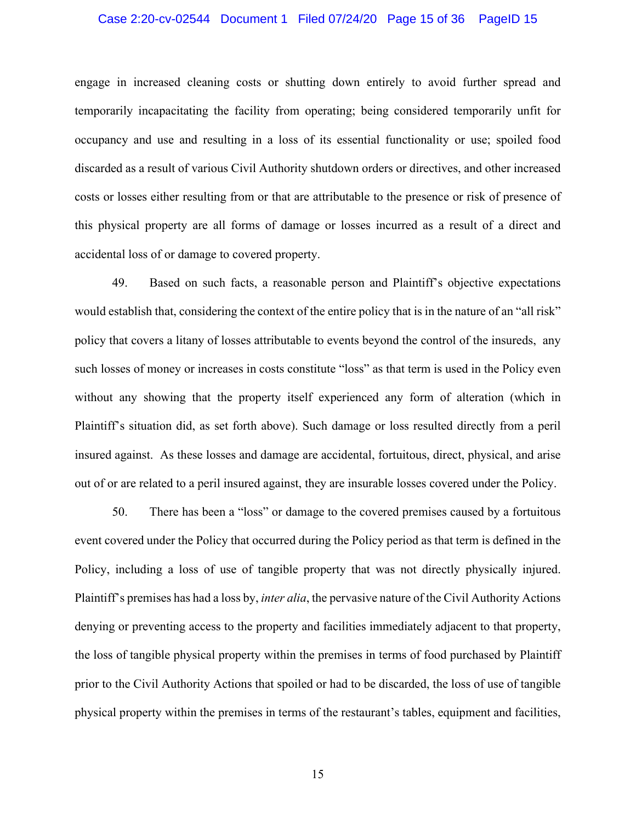## Case 2:20-cv-02544 Document 1 Filed 07/24/20 Page 15 of 36 PageID 15

engage in increased cleaning costs or shutting down entirely to avoid further spread and temporarily incapacitating the facility from operating; being considered temporarily unfit for occupancy and use and resulting in a loss of its essential functionality or use; spoiled food discarded as a result of various Civil Authority shutdown orders or directives, and other increased costs or losses either resulting from or that are attributable to the presence or risk of presence of this physical property are all forms of damage or losses incurred as a result of a direct and accidental loss of or damage to covered property.

49. Based on such facts, a reasonable person and Plaintiff's objective expectations would establish that, considering the context of the entire policy that is in the nature of an "all risk" policy that covers a litany of losses attributable to events beyond the control of the insureds, any such losses of money or increases in costs constitute "loss" as that term is used in the Policy even without any showing that the property itself experienced any form of alteration (which in Plaintiff's situation did, as set forth above). Such damage or loss resulted directly from a peril insured against. As these losses and damage are accidental, fortuitous, direct, physical, and arise out of or are related to a peril insured against, they are insurable losses covered under the Policy.

50. There has been a "loss" or damage to the covered premises caused by a fortuitous event covered under the Policy that occurred during the Policy period as that term is defined in the Policy, including a loss of use of tangible property that was not directly physically injured. Plaintiff's premises has had a loss by, *inter alia*, the pervasive nature of the Civil Authority Actions denying or preventing access to the property and facilities immediately adjacent to that property, the loss of tangible physical property within the premises in terms of food purchased by Plaintiff prior to the Civil Authority Actions that spoiled or had to be discarded, the loss of use of tangible physical property within the premises in terms of the restaurant's tables, equipment and facilities,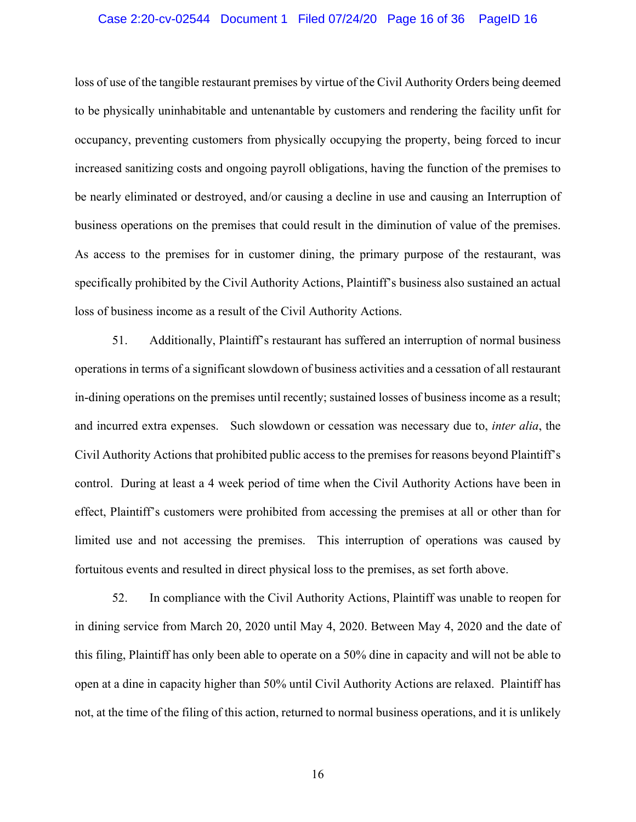## Case 2:20-cv-02544 Document 1 Filed 07/24/20 Page 16 of 36 PageID 16

loss of use of the tangible restaurant premises by virtue of the Civil Authority Orders being deemed to be physically uninhabitable and untenantable by customers and rendering the facility unfit for occupancy, preventing customers from physically occupying the property, being forced to incur increased sanitizing costs and ongoing payroll obligations, having the function of the premises to be nearly eliminated or destroyed, and/or causing a decline in use and causing an Interruption of business operations on the premises that could result in the diminution of value of the premises. As access to the premises for in customer dining, the primary purpose of the restaurant, was specifically prohibited by the Civil Authority Actions, Plaintiff's business also sustained an actual loss of business income as a result of the Civil Authority Actions.

51. Additionally, Plaintiff's restaurant has suffered an interruption of normal business operations in terms of a significant slowdown of business activities and a cessation of all restaurant in-dining operations on the premises until recently; sustained losses of business income as a result; and incurred extra expenses. Such slowdown or cessation was necessary due to, *inter alia*, the Civil Authority Actions that prohibited public access to the premises for reasons beyond Plaintiff's control. During at least a 4 week period of time when the Civil Authority Actions have been in effect, Plaintiff's customers were prohibited from accessing the premises at all or other than for limited use and not accessing the premises. This interruption of operations was caused by fortuitous events and resulted in direct physical loss to the premises, as set forth above.

52. In compliance with the Civil Authority Actions, Plaintiff was unable to reopen for in dining service from March 20, 2020 until May 4, 2020. Between May 4, 2020 and the date of this filing, Plaintiff has only been able to operate on a 50% dine in capacity and will not be able to open at a dine in capacity higher than 50% until Civil Authority Actions are relaxed. Plaintiff has not, at the time of the filing of this action, returned to normal business operations, and it is unlikely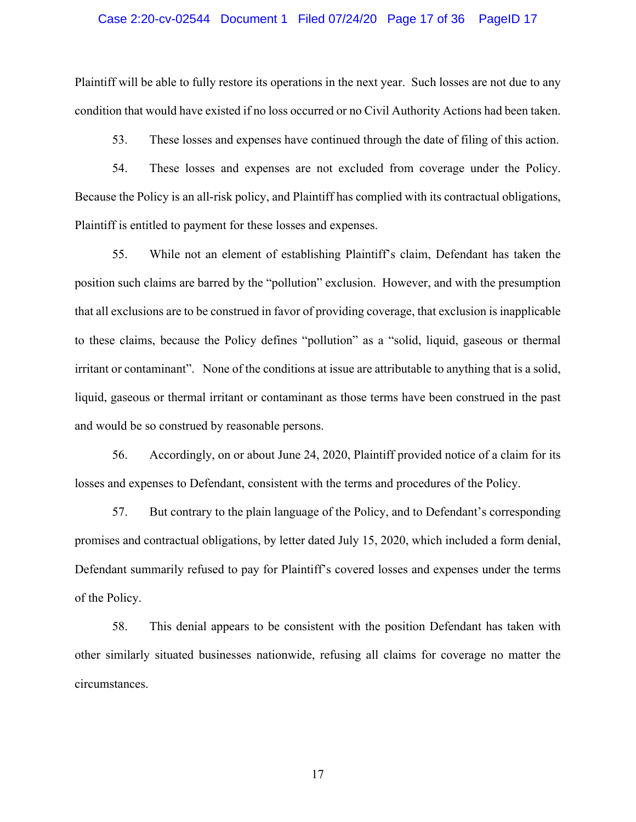#### Case 2:20-cv-02544 Document 1 Filed 07/24/20 Page 17 of 36 PageID 17

Plaintiff will be able to fully restore its operations in the next year. Such losses are not due to any condition that would have existed if no loss occurred or no Civil Authority Actions had been taken.

53. These losses and expenses have continued through the date of filing of this action.

54. These losses and expenses are not excluded from coverage under the Policy. Because the Policy is an all-risk policy, and Plaintiff has complied with its contractual obligations, Plaintiff is entitled to payment for these losses and expenses.

55. While not an element of establishing Plaintiff's claim, Defendant has taken the position such claims are barred by the "pollution" exclusion. However, and with the presumption that all exclusions are to be construed in favor of providing coverage, that exclusion is inapplicable to these claims, because the Policy defines "pollution" as a "solid, liquid, gaseous or thermal irritant or contaminant". None of the conditions at issue are attributable to anything that is a solid, liquid, gaseous or thermal irritant or contaminant as those terms have been construed in the past and would be so construed by reasonable persons.

56. Accordingly, on or about June 24, 2020, Plaintiff provided notice of a claim for its losses and expenses to Defendant, consistent with the terms and procedures of the Policy.

57. But contrary to the plain language of the Policy, and to Defendant's corresponding promises and contractual obligations, by letter dated July 15, 2020, which included a form denial, Defendant summarily refused to pay for Plaintiff's covered losses and expenses under the terms of the Policy.

58. This denial appears to be consistent with the position Defendant has taken with other similarly situated businesses nationwide, refusing all claims for coverage no matter the circumstances.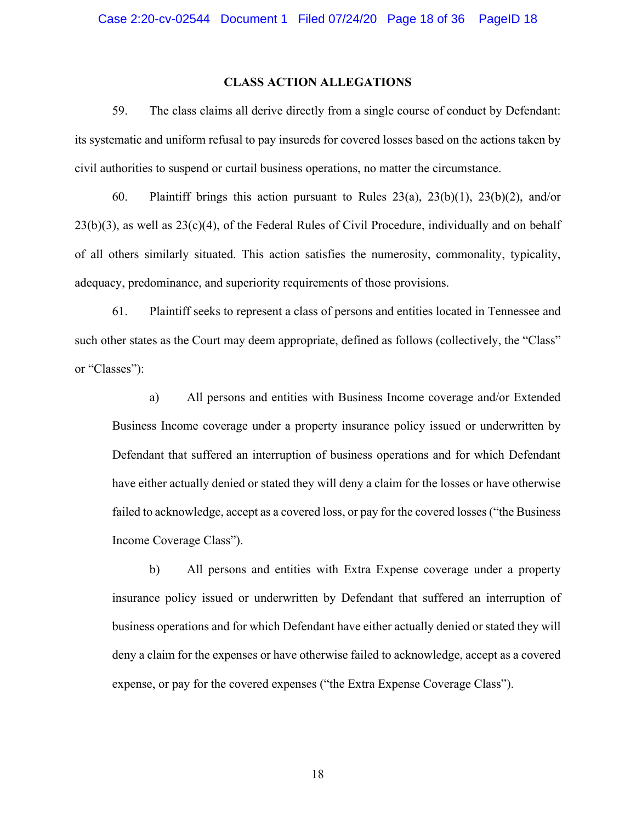## **CLASS ACTION ALLEGATIONS**

59. The class claims all derive directly from a single course of conduct by Defendant: its systematic and uniform refusal to pay insureds for covered losses based on the actions taken by civil authorities to suspend or curtail business operations, no matter the circumstance.

60. Plaintiff brings this action pursuant to Rules 23(a), 23(b)(1), 23(b)(2), and/or 23(b)(3), as well as 23(c)(4), of the Federal Rules of Civil Procedure, individually and on behalf of all others similarly situated. This action satisfies the numerosity, commonality, typicality, adequacy, predominance, and superiority requirements of those provisions.

61. Plaintiff seeks to represent a class of persons and entities located in Tennessee and such other states as the Court may deem appropriate, defined as follows (collectively, the "Class" or "Classes"):

a) All persons and entities with Business Income coverage and/or Extended Business Income coverage under a property insurance policy issued or underwritten by Defendant that suffered an interruption of business operations and for which Defendant have either actually denied or stated they will deny a claim for the losses or have otherwise failed to acknowledge, accept as a covered loss, or pay for the covered losses ("the Business Income Coverage Class").

b) All persons and entities with Extra Expense coverage under a property insurance policy issued or underwritten by Defendant that suffered an interruption of business operations and for which Defendant have either actually denied or stated they will deny a claim for the expenses or have otherwise failed to acknowledge, accept as a covered expense, or pay for the covered expenses ("the Extra Expense Coverage Class").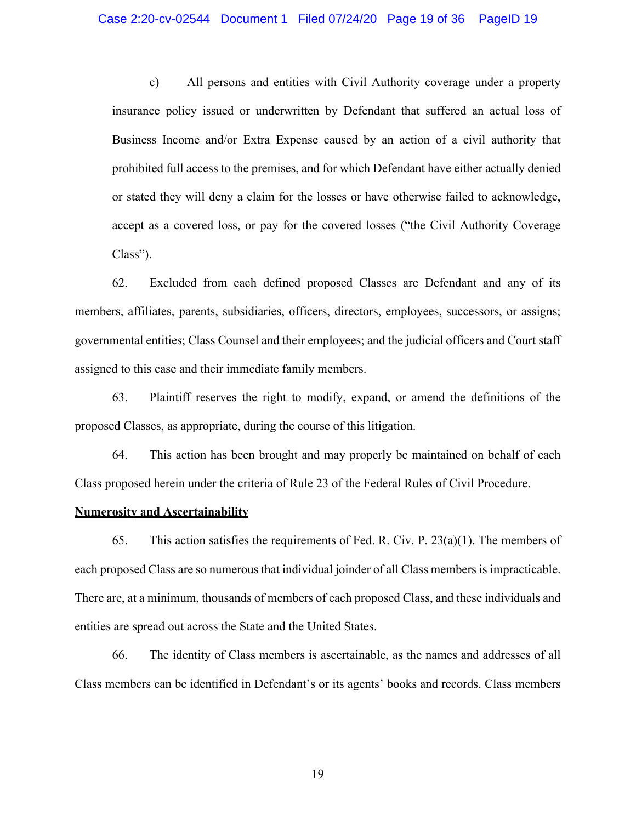#### Case 2:20-cv-02544 Document 1 Filed 07/24/20 Page 19 of 36 PageID 19

c) All persons and entities with Civil Authority coverage under a property insurance policy issued or underwritten by Defendant that suffered an actual loss of Business Income and/or Extra Expense caused by an action of a civil authority that prohibited full access to the premises, and for which Defendant have either actually denied or stated they will deny a claim for the losses or have otherwise failed to acknowledge, accept as a covered loss, or pay for the covered losses ("the Civil Authority Coverage Class").

62. Excluded from each defined proposed Classes are Defendant and any of its members, affiliates, parents, subsidiaries, officers, directors, employees, successors, or assigns; governmental entities; Class Counsel and their employees; and the judicial officers and Court staff assigned to this case and their immediate family members.

63. Plaintiff reserves the right to modify, expand, or amend the definitions of the proposed Classes, as appropriate, during the course of this litigation.

64. This action has been brought and may properly be maintained on behalf of each Class proposed herein under the criteria of Rule 23 of the Federal Rules of Civil Procedure.

## **Numerosity and Ascertainability**

65. This action satisfies the requirements of Fed. R. Civ. P.  $23(a)(1)$ . The members of each proposed Class are so numerous that individual joinder of all Class members is impracticable. There are, at a minimum, thousands of members of each proposed Class, and these individuals and entities are spread out across the State and the United States.

66. The identity of Class members is ascertainable, as the names and addresses of all Class members can be identified in Defendant's or its agents' books and records. Class members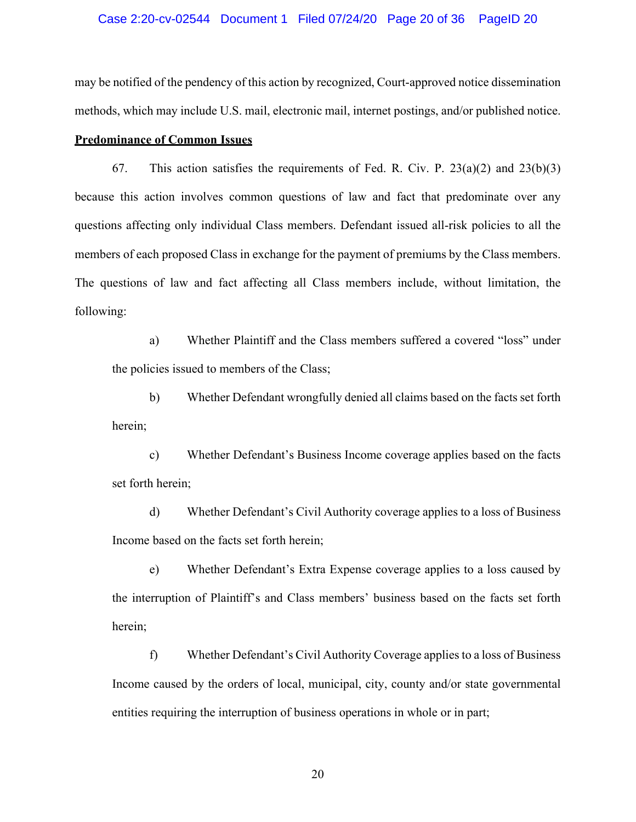## Case 2:20-cv-02544 Document 1 Filed 07/24/20 Page 20 of 36 PageID 20

may be notified of the pendency of this action by recognized, Court-approved notice dissemination methods, which may include U.S. mail, electronic mail, internet postings, and/or published notice.

## **Predominance of Common Issues**

67. This action satisfies the requirements of Fed. R. Civ. P.  $23(a)(2)$  and  $23(b)(3)$ because this action involves common questions of law and fact that predominate over any questions affecting only individual Class members. Defendant issued all-risk policies to all the members of each proposed Class in exchange for the payment of premiums by the Class members. The questions of law and fact affecting all Class members include, without limitation, the following:

a) Whether Plaintiff and the Class members suffered a covered "loss" under the policies issued to members of the Class;

b) Whether Defendant wrongfully denied all claims based on the facts set forth herein;

c) Whether Defendant's Business Income coverage applies based on the facts set forth herein;

d) Whether Defendant's Civil Authority coverage applies to a loss of Business Income based on the facts set forth herein;

e) Whether Defendant's Extra Expense coverage applies to a loss caused by the interruption of Plaintiff's and Class members' business based on the facts set forth herein;

f) Whether Defendant's Civil Authority Coverage applies to a loss of Business Income caused by the orders of local, municipal, city, county and/or state governmental entities requiring the interruption of business operations in whole or in part;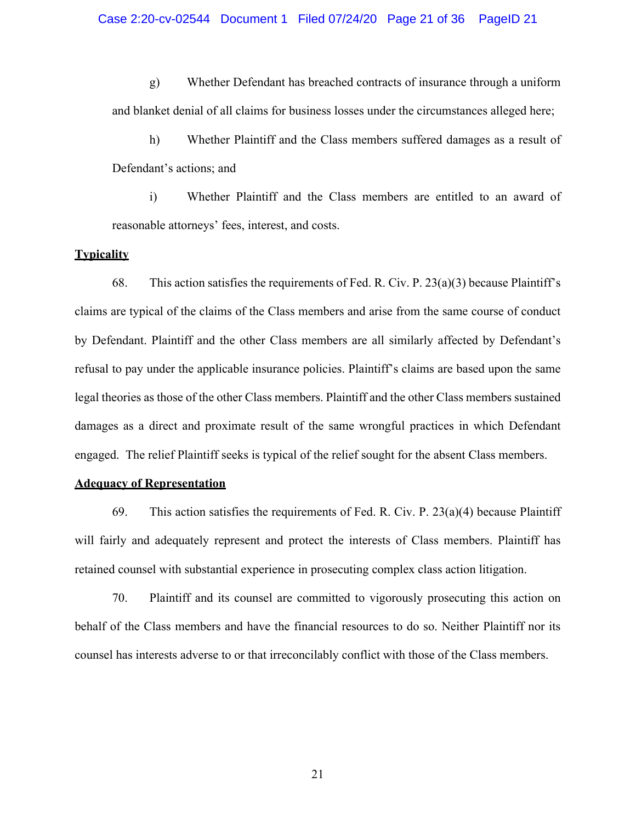g) Whether Defendant has breached contracts of insurance through a uniform and blanket denial of all claims for business losses under the circumstances alleged here;

h) Whether Plaintiff and the Class members suffered damages as a result of Defendant's actions; and

i) Whether Plaintiff and the Class members are entitled to an award of reasonable attorneys' fees, interest, and costs.

## **Typicality**

68. This action satisfies the requirements of Fed. R. Civ. P.  $23(a)(3)$  because Plaintiff's claims are typical of the claims of the Class members and arise from the same course of conduct by Defendant. Plaintiff and the other Class members are all similarly affected by Defendant's refusal to pay under the applicable insurance policies. Plaintiff's claims are based upon the same legal theories as those of the other Class members. Plaintiff and the other Class members sustained damages as a direct and proximate result of the same wrongful practices in which Defendant engaged. The relief Plaintiff seeks is typical of the relief sought for the absent Class members.

## **Adequacy of Representation**

69. This action satisfies the requirements of Fed. R. Civ. P.  $23(a)(4)$  because Plaintiff will fairly and adequately represent and protect the interests of Class members. Plaintiff has retained counsel with substantial experience in prosecuting complex class action litigation.

70. Plaintiff and its counsel are committed to vigorously prosecuting this action on behalf of the Class members and have the financial resources to do so. Neither Plaintiff nor its counsel has interests adverse to or that irreconcilably conflict with those of the Class members.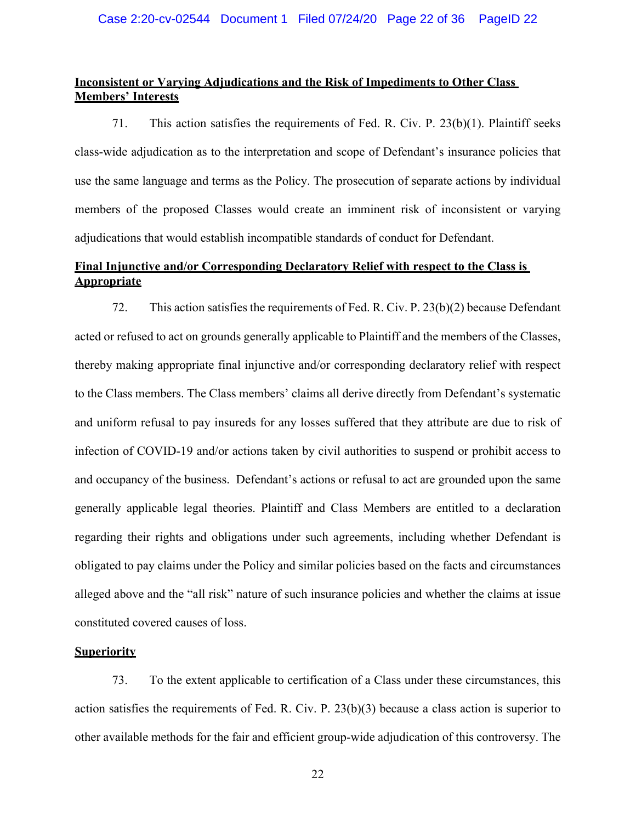## **Inconsistent or Varying Adjudications and the Risk of Impediments to Other Class Members' Interests**

71. This action satisfies the requirements of Fed. R. Civ. P. 23(b)(1). Plaintiff seeks class-wide adjudication as to the interpretation and scope of Defendant's insurance policies that use the same language and terms as the Policy. The prosecution of separate actions by individual members of the proposed Classes would create an imminent risk of inconsistent or varying adjudications that would establish incompatible standards of conduct for Defendant.

## **Final Injunctive and/or Corresponding Declaratory Relief with respect to the Class is Appropriate**

72. This action satisfies the requirements of Fed. R. Civ. P. 23(b)(2) because Defendant acted or refused to act on grounds generally applicable to Plaintiff and the members of the Classes, thereby making appropriate final injunctive and/or corresponding declaratory relief with respect to the Class members. The Class members' claims all derive directly from Defendant's systematic and uniform refusal to pay insureds for any losses suffered that they attribute are due to risk of infection of COVID-19 and/or actions taken by civil authorities to suspend or prohibit access to and occupancy of the business. Defendant's actions or refusal to act are grounded upon the same generally applicable legal theories. Plaintiff and Class Members are entitled to a declaration regarding their rights and obligations under such agreements, including whether Defendant is obligated to pay claims under the Policy and similar policies based on the facts and circumstances alleged above and the "all risk" nature of such insurance policies and whether the claims at issue constituted covered causes of loss.

## **Superiority**

73. To the extent applicable to certification of a Class under these circumstances, this action satisfies the requirements of Fed. R. Civ. P. 23(b)(3) because a class action is superior to other available methods for the fair and efficient group-wide adjudication of this controversy. The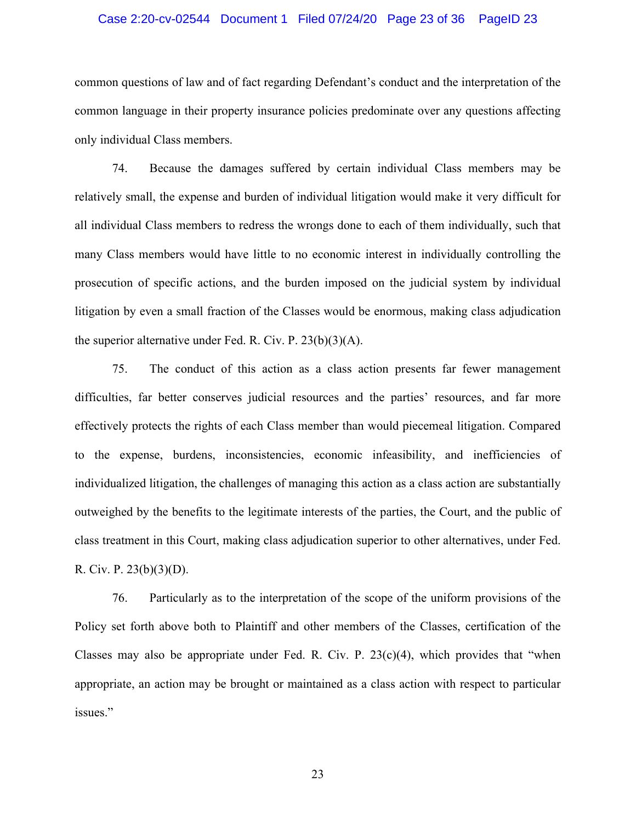#### Case 2:20-cv-02544 Document 1 Filed 07/24/20 Page 23 of 36 PageID 23

common questions of law and of fact regarding Defendant's conduct and the interpretation of the common language in their property insurance policies predominate over any questions affecting only individual Class members.

74. Because the damages suffered by certain individual Class members may be relatively small, the expense and burden of individual litigation would make it very difficult for all individual Class members to redress the wrongs done to each of them individually, such that many Class members would have little to no economic interest in individually controlling the prosecution of specific actions, and the burden imposed on the judicial system by individual litigation by even a small fraction of the Classes would be enormous, making class adjudication the superior alternative under Fed. R. Civ. P. 23(b)(3)(A).

75. The conduct of this action as a class action presents far fewer management difficulties, far better conserves judicial resources and the parties' resources, and far more effectively protects the rights of each Class member than would piecemeal litigation. Compared to the expense, burdens, inconsistencies, economic infeasibility, and inefficiencies of individualized litigation, the challenges of managing this action as a class action are substantially outweighed by the benefits to the legitimate interests of the parties, the Court, and the public of class treatment in this Court, making class adjudication superior to other alternatives, under Fed. R. Civ. P. 23(b)(3)(D).

76. Particularly as to the interpretation of the scope of the uniform provisions of the Policy set forth above both to Plaintiff and other members of the Classes, certification of the Classes may also be appropriate under Fed. R. Civ. P.  $23(c)(4)$ , which provides that "when appropriate, an action may be brought or maintained as a class action with respect to particular issues."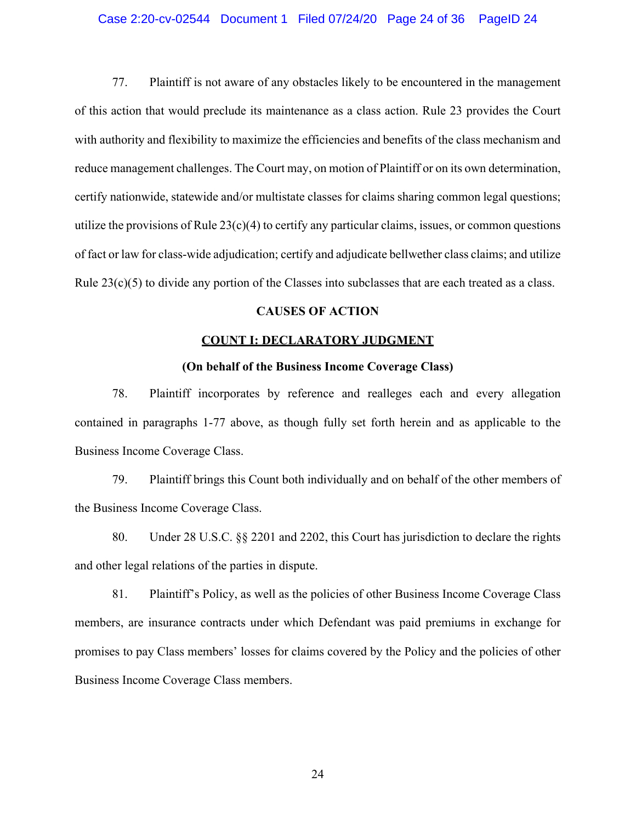## Case 2:20-cv-02544 Document 1 Filed 07/24/20 Page 24 of 36 PageID 24

77. Plaintiff is not aware of any obstacles likely to be encountered in the management of this action that would preclude its maintenance as a class action. Rule 23 provides the Court with authority and flexibility to maximize the efficiencies and benefits of the class mechanism and reduce management challenges. The Court may, on motion of Plaintiff or on its own determination, certify nationwide, statewide and/or multistate classes for claims sharing common legal questions; utilize the provisions of Rule  $23(c)(4)$  to certify any particular claims, issues, or common questions of fact or law for class-wide adjudication; certify and adjudicate bellwether class claims; and utilize Rule  $23(c)(5)$  to divide any portion of the Classes into subclasses that are each treated as a class.

## **CAUSES OF ACTION**

## **COUNT I: DECLARATORY JUDGMENT**

## **(On behalf of the Business Income Coverage Class)**

78. Plaintiff incorporates by reference and realleges each and every allegation contained in paragraphs 1-77 above, as though fully set forth herein and as applicable to the Business Income Coverage Class.

79. Plaintiff brings this Count both individually and on behalf of the other members of the Business Income Coverage Class.

80. Under 28 U.S.C. §§ 2201 and 2202, this Court has jurisdiction to declare the rights and other legal relations of the parties in dispute.

81. Plaintiff's Policy, as well as the policies of other Business Income Coverage Class members, are insurance contracts under which Defendant was paid premiums in exchange for promises to pay Class members' losses for claims covered by the Policy and the policies of other Business Income Coverage Class members.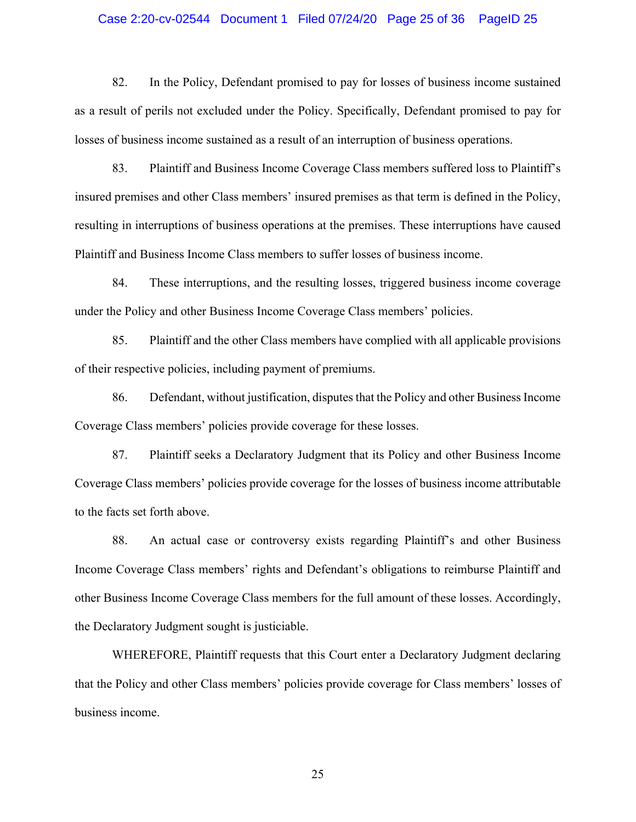#### Case 2:20-cv-02544 Document 1 Filed 07/24/20 Page 25 of 36 PageID 25

82. In the Policy, Defendant promised to pay for losses of business income sustained as a result of perils not excluded under the Policy. Specifically, Defendant promised to pay for losses of business income sustained as a result of an interruption of business operations.

83. Plaintiff and Business Income Coverage Class members suffered loss to Plaintiff's insured premises and other Class members' insured premises as that term is defined in the Policy, resulting in interruptions of business operations at the premises. These interruptions have caused Plaintiff and Business Income Class members to suffer losses of business income.

84. These interruptions, and the resulting losses, triggered business income coverage under the Policy and other Business Income Coverage Class members' policies.

85. Plaintiff and the other Class members have complied with all applicable provisions of their respective policies, including payment of premiums.

86. Defendant, without justification, disputesthat the Policy and other Business Income Coverage Class members' policies provide coverage for these losses.

87. Plaintiff seeks a Declaratory Judgment that its Policy and other Business Income Coverage Class members' policies provide coverage for the losses of business income attributable to the facts set forth above.

88. An actual case or controversy exists regarding Plaintiff's and other Business Income Coverage Class members' rights and Defendant's obligations to reimburse Plaintiff and other Business Income Coverage Class members for the full amount of these losses. Accordingly, the Declaratory Judgment sought is justiciable.

WHEREFORE, Plaintiff requests that this Court enter a Declaratory Judgment declaring that the Policy and other Class members' policies provide coverage for Class members' losses of business income.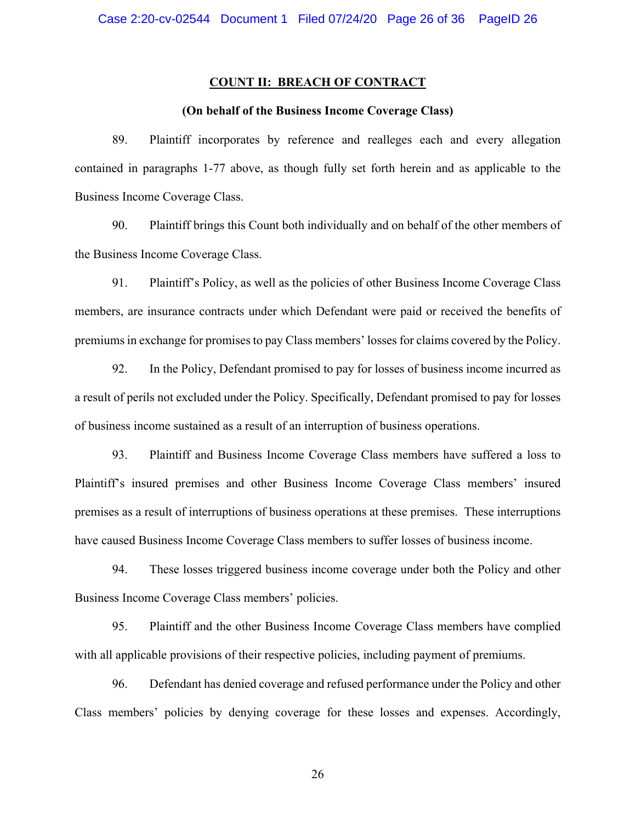#### **COUNT II: BREACH OF CONTRACT**

## **(On behalf of the Business Income Coverage Class)**

89. Plaintiff incorporates by reference and realleges each and every allegation contained in paragraphs 1-77 above, as though fully set forth herein and as applicable to the Business Income Coverage Class.

90. Plaintiff brings this Count both individually and on behalf of the other members of the Business Income Coverage Class.

91. Plaintiff's Policy, as well as the policies of other Business Income Coverage Class members, are insurance contracts under which Defendant were paid or received the benefits of premiums in exchange for promises to pay Class members' losses for claims covered by the Policy.

92. In the Policy, Defendant promised to pay for losses of business income incurred as a result of perils not excluded under the Policy. Specifically, Defendant promised to pay for losses of business income sustained as a result of an interruption of business operations.

93. Plaintiff and Business Income Coverage Class members have suffered a loss to Plaintiff's insured premises and other Business Income Coverage Class members' insured premises as a result of interruptions of business operations at these premises. These interruptions have caused Business Income Coverage Class members to suffer losses of business income.

94. These losses triggered business income coverage under both the Policy and other Business Income Coverage Class members' policies.

95. Plaintiff and the other Business Income Coverage Class members have complied with all applicable provisions of their respective policies, including payment of premiums.

96. Defendant has denied coverage and refused performance under the Policy and other Class members' policies by denying coverage for these losses and expenses. Accordingly,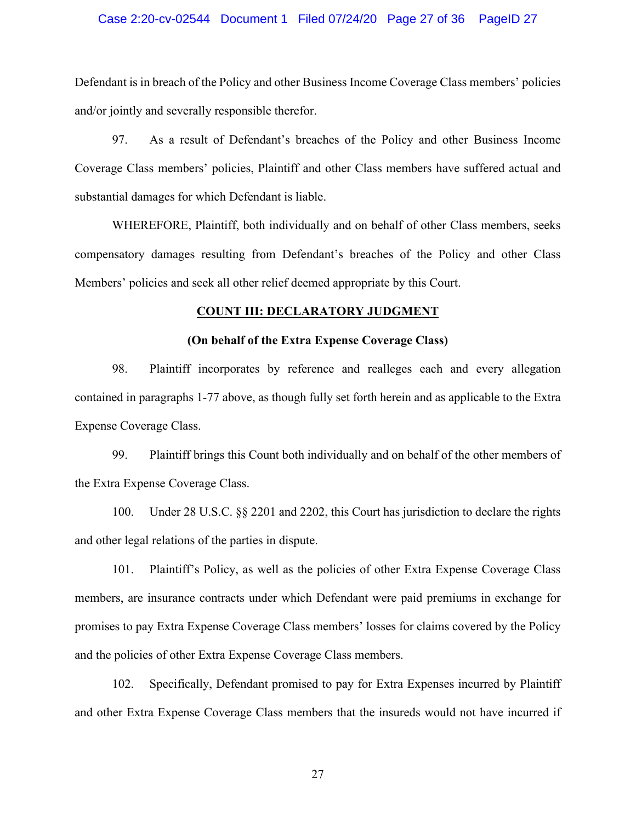## Case 2:20-cv-02544 Document 1 Filed 07/24/20 Page 27 of 36 PageID 27

Defendant is in breach of the Policy and other Business Income Coverage Class members' policies and/or jointly and severally responsible therefor.

97. As a result of Defendant's breaches of the Policy and other Business Income Coverage Class members' policies, Plaintiff and other Class members have suffered actual and substantial damages for which Defendant is liable.

WHEREFORE, Plaintiff, both individually and on behalf of other Class members, seeks compensatory damages resulting from Defendant's breaches of the Policy and other Class Members' policies and seek all other relief deemed appropriate by this Court.

## **COUNT III: DECLARATORY JUDGMENT**

## **(On behalf of the Extra Expense Coverage Class)**

98. Plaintiff incorporates by reference and realleges each and every allegation contained in paragraphs 1-77 above, as though fully set forth herein and as applicable to the Extra Expense Coverage Class.

99. Plaintiff brings this Count both individually and on behalf of the other members of the Extra Expense Coverage Class.

100. Under 28 U.S.C. §§ 2201 and 2202, this Court has jurisdiction to declare the rights and other legal relations of the parties in dispute.

101. Plaintiff's Policy, as well as the policies of other Extra Expense Coverage Class members, are insurance contracts under which Defendant were paid premiums in exchange for promises to pay Extra Expense Coverage Class members' losses for claims covered by the Policy and the policies of other Extra Expense Coverage Class members.

102. Specifically, Defendant promised to pay for Extra Expenses incurred by Plaintiff and other Extra Expense Coverage Class members that the insureds would not have incurred if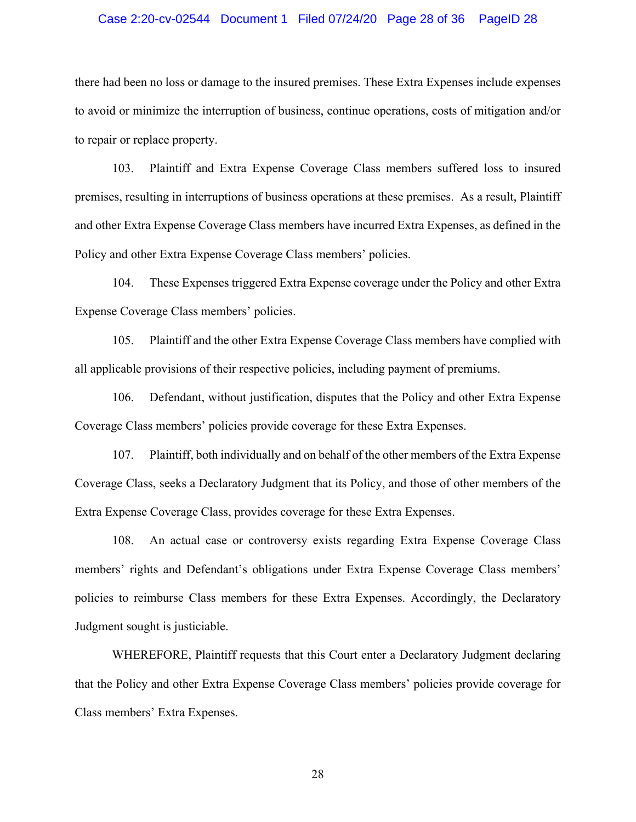#### Case 2:20-cv-02544 Document 1 Filed 07/24/20 Page 28 of 36 PageID 28

there had been no loss or damage to the insured premises. These Extra Expenses include expenses to avoid or minimize the interruption of business, continue operations, costs of mitigation and/or to repair or replace property.

103. Plaintiff and Extra Expense Coverage Class members suffered loss to insured premises, resulting in interruptions of business operations at these premises. As a result, Plaintiff and other Extra Expense Coverage Class members have incurred Extra Expenses, as defined in the Policy and other Extra Expense Coverage Class members' policies.

104. These Expenses triggered Extra Expense coverage under the Policy and other Extra Expense Coverage Class members' policies.

105. Plaintiff and the other Extra Expense Coverage Class members have complied with all applicable provisions of their respective policies, including payment of premiums.

106. Defendant, without justification, disputes that the Policy and other Extra Expense Coverage Class members' policies provide coverage for these Extra Expenses.

107. Plaintiff, both individually and on behalf of the other members of the Extra Expense Coverage Class, seeks a Declaratory Judgment that its Policy, and those of other members of the Extra Expense Coverage Class, provides coverage for these Extra Expenses.

108. An actual case or controversy exists regarding Extra Expense Coverage Class members' rights and Defendant's obligations under Extra Expense Coverage Class members' policies to reimburse Class members for these Extra Expenses. Accordingly, the Declaratory Judgment sought is justiciable.

WHEREFORE, Plaintiff requests that this Court enter a Declaratory Judgment declaring that the Policy and other Extra Expense Coverage Class members' policies provide coverage for Class members' Extra Expenses.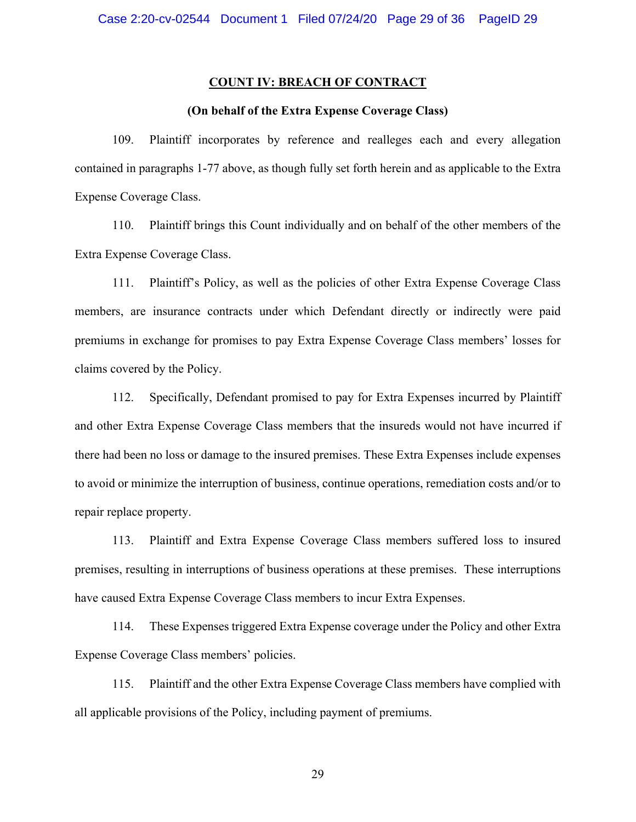#### **COUNT IV: BREACH OF CONTRACT**

## **(On behalf of the Extra Expense Coverage Class)**

109. Plaintiff incorporates by reference and realleges each and every allegation contained in paragraphs 1-77 above, as though fully set forth herein and as applicable to the Extra Expense Coverage Class.

110. Plaintiff brings this Count individually and on behalf of the other members of the Extra Expense Coverage Class.

111. Plaintiff's Policy, as well as the policies of other Extra Expense Coverage Class members, are insurance contracts under which Defendant directly or indirectly were paid premiums in exchange for promises to pay Extra Expense Coverage Class members' losses for claims covered by the Policy.

112. Specifically, Defendant promised to pay for Extra Expenses incurred by Plaintiff and other Extra Expense Coverage Class members that the insureds would not have incurred if there had been no loss or damage to the insured premises. These Extra Expenses include expenses to avoid or minimize the interruption of business, continue operations, remediation costs and/or to repair replace property.

113. Plaintiff and Extra Expense Coverage Class members suffered loss to insured premises, resulting in interruptions of business operations at these premises. These interruptions have caused Extra Expense Coverage Class members to incur Extra Expenses.

114. These Expenses triggered Extra Expense coverage under the Policy and other Extra Expense Coverage Class members' policies.

115. Plaintiff and the other Extra Expense Coverage Class members have complied with all applicable provisions of the Policy, including payment of premiums.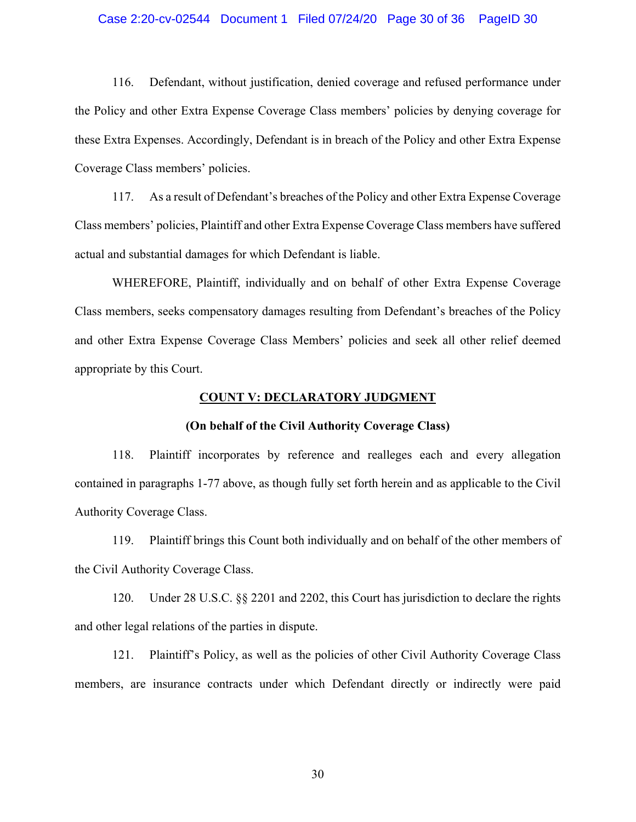#### Case 2:20-cv-02544 Document 1 Filed 07/24/20 Page 30 of 36 PageID 30

116. Defendant, without justification, denied coverage and refused performance under the Policy and other Extra Expense Coverage Class members' policies by denying coverage for these Extra Expenses. Accordingly, Defendant is in breach of the Policy and other Extra Expense Coverage Class members' policies.

117. As a result of Defendant's breaches of the Policy and other Extra Expense Coverage Class members' policies, Plaintiff and other Extra Expense Coverage Class members have suffered actual and substantial damages for which Defendant is liable.

WHEREFORE, Plaintiff, individually and on behalf of other Extra Expense Coverage Class members, seeks compensatory damages resulting from Defendant's breaches of the Policy and other Extra Expense Coverage Class Members' policies and seek all other relief deemed appropriate by this Court.

#### **COUNT V: DECLARATORY JUDGMENT**

#### **(On behalf of the Civil Authority Coverage Class)**

118. Plaintiff incorporates by reference and realleges each and every allegation contained in paragraphs 1-77 above, as though fully set forth herein and as applicable to the Civil Authority Coverage Class.

119. Plaintiff brings this Count both individually and on behalf of the other members of the Civil Authority Coverage Class.

120. Under 28 U.S.C. §§ 2201 and 2202, this Court has jurisdiction to declare the rights and other legal relations of the parties in dispute.

121. Plaintiff's Policy, as well as the policies of other Civil Authority Coverage Class members, are insurance contracts under which Defendant directly or indirectly were paid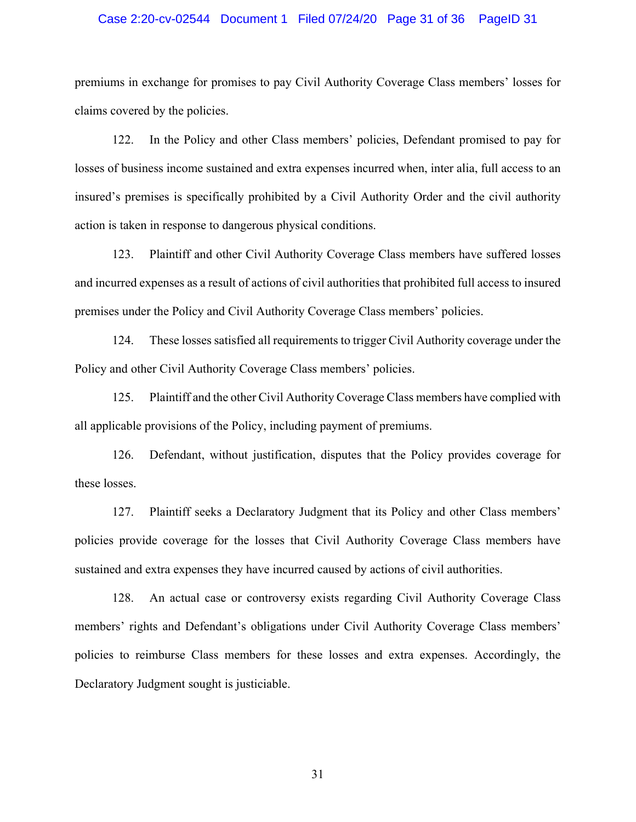## Case 2:20-cv-02544 Document 1 Filed 07/24/20 Page 31 of 36 PageID 31

premiums in exchange for promises to pay Civil Authority Coverage Class members' losses for claims covered by the policies.

122. In the Policy and other Class members' policies, Defendant promised to pay for losses of business income sustained and extra expenses incurred when, inter alia, full access to an insured's premises is specifically prohibited by a Civil Authority Order and the civil authority action is taken in response to dangerous physical conditions.

123. Plaintiff and other Civil Authority Coverage Class members have suffered losses and incurred expenses as a result of actions of civil authorities that prohibited full access to insured premises under the Policy and Civil Authority Coverage Class members' policies.

124. These losses satisfied all requirements to trigger Civil Authority coverage under the Policy and other Civil Authority Coverage Class members' policies.

125. Plaintiff and the other Civil Authority Coverage Class members have complied with all applicable provisions of the Policy, including payment of premiums.

126. Defendant, without justification, disputes that the Policy provides coverage for these losses.

127. Plaintiff seeks a Declaratory Judgment that its Policy and other Class members' policies provide coverage for the losses that Civil Authority Coverage Class members have sustained and extra expenses they have incurred caused by actions of civil authorities.

128. An actual case or controversy exists regarding Civil Authority Coverage Class members' rights and Defendant's obligations under Civil Authority Coverage Class members' policies to reimburse Class members for these losses and extra expenses. Accordingly, the Declaratory Judgment sought is justiciable.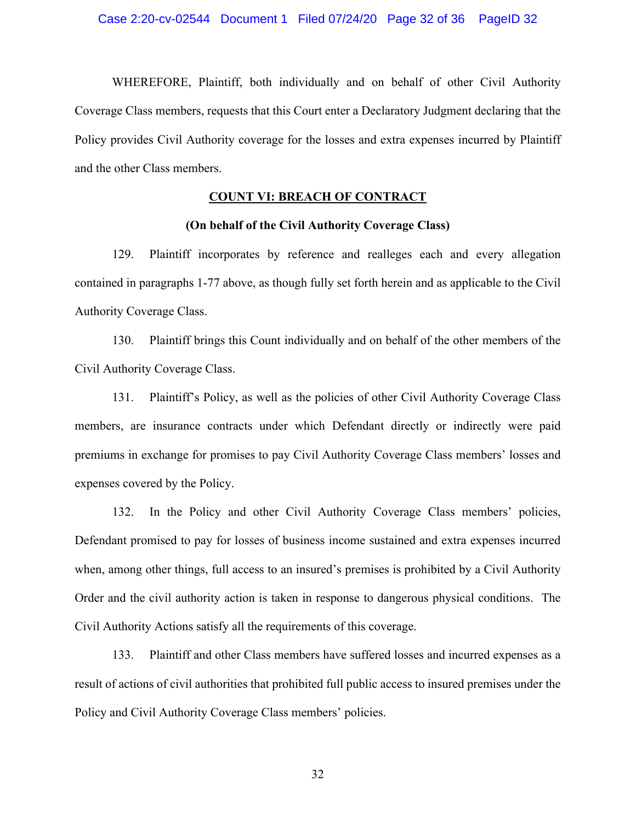WHEREFORE, Plaintiff, both individually and on behalf of other Civil Authority Coverage Class members, requests that this Court enter a Declaratory Judgment declaring that the Policy provides Civil Authority coverage for the losses and extra expenses incurred by Plaintiff and the other Class members.

## **COUNT VI: BREACH OF CONTRACT**

## **(On behalf of the Civil Authority Coverage Class)**

129. Plaintiff incorporates by reference and realleges each and every allegation contained in paragraphs 1-77 above, as though fully set forth herein and as applicable to the Civil Authority Coverage Class.

130. Plaintiff brings this Count individually and on behalf of the other members of the Civil Authority Coverage Class.

131. Plaintiff's Policy, as well as the policies of other Civil Authority Coverage Class members, are insurance contracts under which Defendant directly or indirectly were paid premiums in exchange for promises to pay Civil Authority Coverage Class members' losses and expenses covered by the Policy.

132. In the Policy and other Civil Authority Coverage Class members' policies, Defendant promised to pay for losses of business income sustained and extra expenses incurred when, among other things, full access to an insured's premises is prohibited by a Civil Authority Order and the civil authority action is taken in response to dangerous physical conditions. The Civil Authority Actions satisfy all the requirements of this coverage.

133. Plaintiff and other Class members have suffered losses and incurred expenses as a result of actions of civil authorities that prohibited full public access to insured premises under the Policy and Civil Authority Coverage Class members' policies.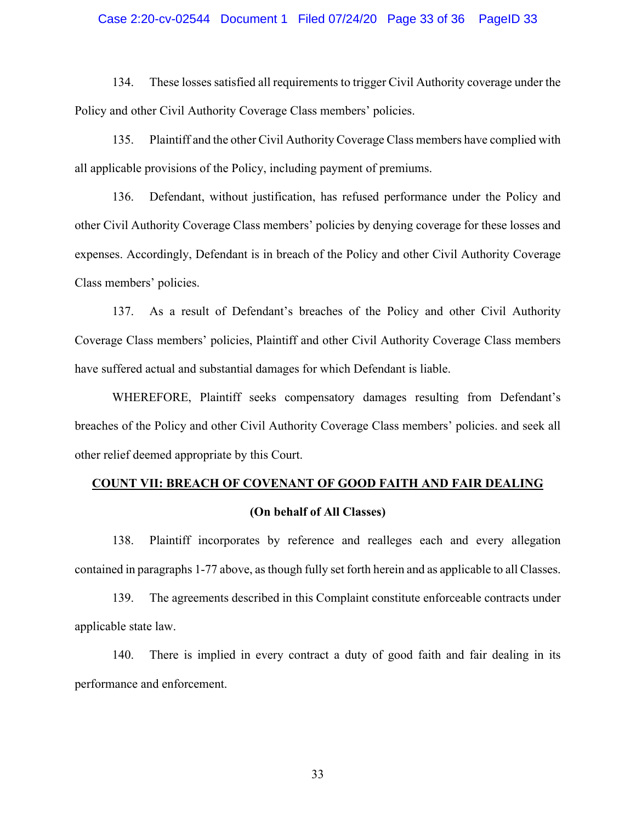## Case 2:20-cv-02544 Document 1 Filed 07/24/20 Page 33 of 36 PageID 33

134. These losses satisfied all requirements to trigger Civil Authority coverage under the Policy and other Civil Authority Coverage Class members' policies.

135. Plaintiff and the other Civil Authority Coverage Class members have complied with all applicable provisions of the Policy, including payment of premiums.

136. Defendant, without justification, has refused performance under the Policy and other Civil Authority Coverage Class members' policies by denying coverage for these losses and expenses. Accordingly, Defendant is in breach of the Policy and other Civil Authority Coverage Class members' policies.

137. As a result of Defendant's breaches of the Policy and other Civil Authority Coverage Class members' policies, Plaintiff and other Civil Authority Coverage Class members have suffered actual and substantial damages for which Defendant is liable.

WHEREFORE, Plaintiff seeks compensatory damages resulting from Defendant's breaches of the Policy and other Civil Authority Coverage Class members' policies. and seek all other relief deemed appropriate by this Court.

# **COUNT VII: BREACH OF COVENANT OF GOOD FAITH AND FAIR DEALING**

## **(On behalf of All Classes)**

138. Plaintiff incorporates by reference and realleges each and every allegation contained in paragraphs 1-77 above, as though fully set forth herein and as applicable to all Classes.

139. The agreements described in this Complaint constitute enforceable contracts under applicable state law.

140. There is implied in every contract a duty of good faith and fair dealing in its performance and enforcement.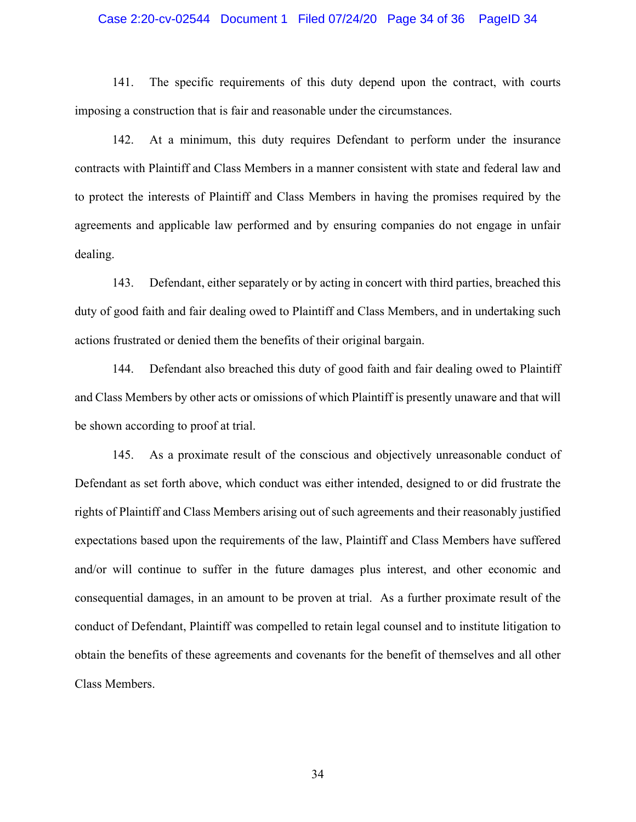#### Case 2:20-cv-02544 Document 1 Filed 07/24/20 Page 34 of 36 PageID 34

141. The specific requirements of this duty depend upon the contract, with courts imposing a construction that is fair and reasonable under the circumstances.

142. At a minimum, this duty requires Defendant to perform under the insurance contracts with Plaintiff and Class Members in a manner consistent with state and federal law and to protect the interests of Plaintiff and Class Members in having the promises required by the agreements and applicable law performed and by ensuring companies do not engage in unfair dealing.

143. Defendant, either separately or by acting in concert with third parties, breached this duty of good faith and fair dealing owed to Plaintiff and Class Members, and in undertaking such actions frustrated or denied them the benefits of their original bargain.

144. Defendant also breached this duty of good faith and fair dealing owed to Plaintiff and Class Members by other acts or omissions of which Plaintiff is presently unaware and that will be shown according to proof at trial.

145. As a proximate result of the conscious and objectively unreasonable conduct of Defendant as set forth above, which conduct was either intended, designed to or did frustrate the rights of Plaintiff and Class Members arising out of such agreements and their reasonably justified expectations based upon the requirements of the law, Plaintiff and Class Members have suffered and/or will continue to suffer in the future damages plus interest, and other economic and consequential damages, in an amount to be proven at trial. As a further proximate result of the conduct of Defendant, Plaintiff was compelled to retain legal counsel and to institute litigation to obtain the benefits of these agreements and covenants for the benefit of themselves and all other Class Members.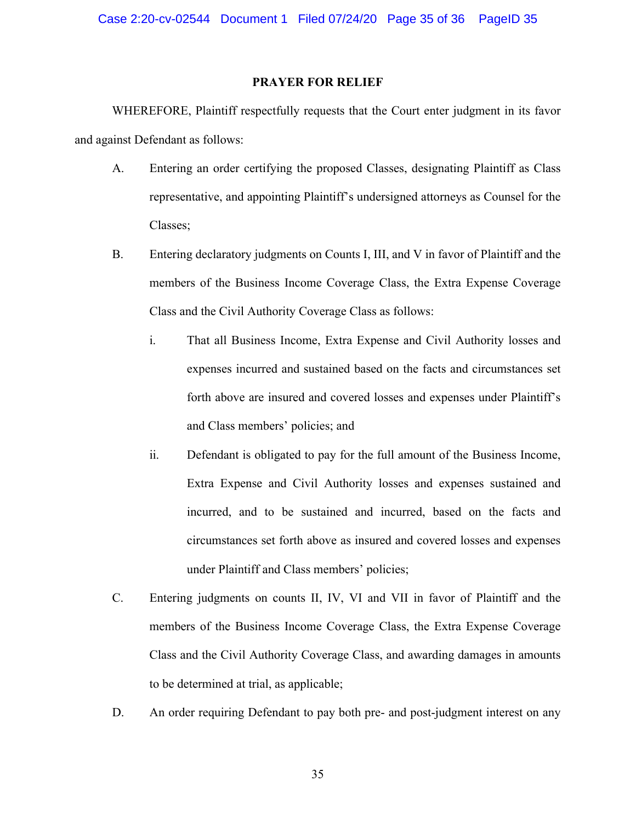## **PRAYER FOR RELIEF**

WHEREFORE, Plaintiff respectfully requests that the Court enter judgment in its favor and against Defendant as follows:

- A. Entering an order certifying the proposed Classes, designating Plaintiff as Class representative, and appointing Plaintiff's undersigned attorneys as Counsel for the Classes;
- B. Entering declaratory judgments on Counts I, III, and V in favor of Plaintiff and the members of the Business Income Coverage Class, the Extra Expense Coverage Class and the Civil Authority Coverage Class as follows:
	- i. That all Business Income, Extra Expense and Civil Authority losses and expenses incurred and sustained based on the facts and circumstances set forth above are insured and covered losses and expenses under Plaintiff's and Class members' policies; and
	- ii. Defendant is obligated to pay for the full amount of the Business Income, Extra Expense and Civil Authority losses and expenses sustained and incurred, and to be sustained and incurred, based on the facts and circumstances set forth above as insured and covered losses and expenses under Plaintiff and Class members' policies;
- C. Entering judgments on counts II, IV, VI and VII in favor of Plaintiff and the members of the Business Income Coverage Class, the Extra Expense Coverage Class and the Civil Authority Coverage Class, and awarding damages in amounts to be determined at trial, as applicable;
- D. An order requiring Defendant to pay both pre- and post-judgment interest on any